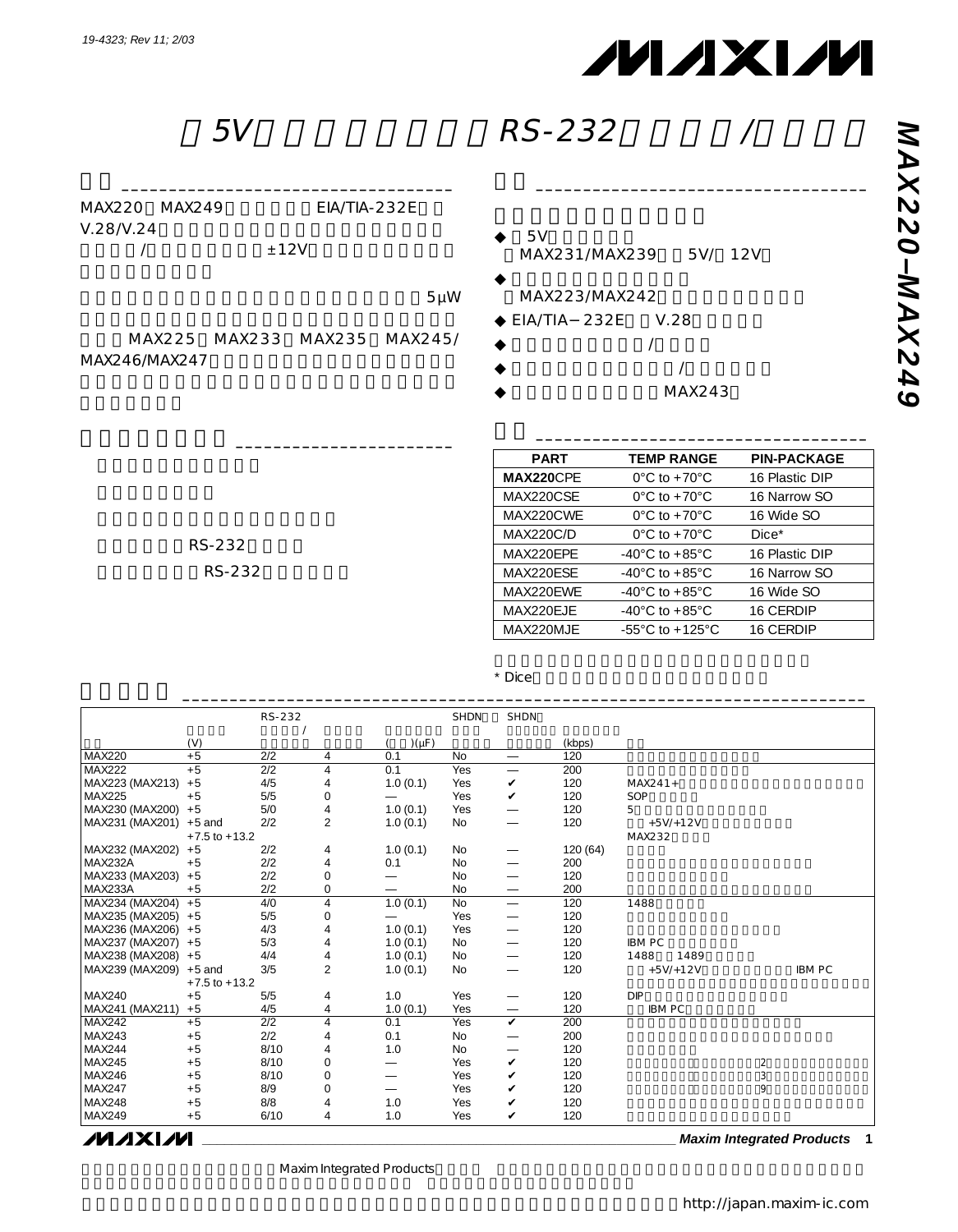

特長 \_\_\_\_\_\_\_\_\_\_\_\_\_\_\_\_\_\_\_\_\_\_\_\_\_\_\_\_\_\_\_\_\_\_\_

| 5V | <b>RS-232</b> |  |
|----|---------------|--|
|----|---------------|--|

| MAX220 MAX249 | $EIA/TIA-232E$ |
|---------------|----------------|
| V.28N.24      |                |
|               | $+12V$         |
|               |                |

 $5\mu$ W

MAX225 MAX233 MAX235 MAX245/ MAX246/MAX247

アプリケーション \_\_\_\_\_\_\_\_\_\_\_\_\_\_\_\_\_\_\_\_\_\_\_

- $5V$ MAX231/MAX239 5V/ 12V
- $\bullet$ MAX223/MAX242
- $\blacklozenge$  EIA/TIA 232E V.28
- $\blacklozenge$   $\blacktriangleright$   $\blacktriangle$
- $\blacklozenge$   $\blacktriangleright$   $\blacktriangle$
- MAX243

| <b>PART</b>      | <b>TEMP RANGE</b>                   | <b>PIN-PACKAGE</b> |
|------------------|-------------------------------------|--------------------|
| <b>MAX220CPE</b> | $0^{\circ}$ C to +70 $^{\circ}$ C   | 16 Plastic DIP     |
| MAX220CSE        | $0^{\circ}$ C to +70 $^{\circ}$ C   | 16 Narrow SO       |
| MAX220CWF        | $0^{\circ}$ C to +70 $^{\circ}$ C   | 16 Wide SO         |
| <b>MAX220C/D</b> | $0^{\circ}$ C to +70 $^{\circ}$ C   | $Dice*$            |
| MAX220FPF        | $-40^{\circ}$ C to $+85^{\circ}$ C  | 16 Plastic DIP     |
| MAX220FSF        | $-40^{\circ}$ C to $+85^{\circ}$ C  | 16 Narrow SO       |
| MAX220FWF        | $-40^{\circ}$ C to $+85^{\circ}$ C  | 16 Wide SO         |
| MAX220EJE        | $-40^{\circ}$ C to $+85^{\circ}$ C  | 16 CERDIP          |
| MAX220MJE        | $-55^{\circ}$ C to $+125^{\circ}$ C | 16 CERDIP          |

型番 \_\_\_\_\_\_\_\_\_\_\_\_\_\_\_\_\_\_\_\_\_\_\_\_\_\_\_\_\_\_\_\_\_\_\_

RS-232 RS-232

\* Dice

|                    |                   | RS-232 |                |                          | <b>SHDN</b> | <b>SHDN</b>              |         |               |                           |
|--------------------|-------------------|--------|----------------|--------------------------|-------------|--------------------------|---------|---------------|---------------------------|
|                    |                   |        |                |                          |             |                          |         |               |                           |
|                    | (V)               |        |                | $)(\mu F)$               |             |                          | (kbps)  |               |                           |
| <b>MAX220</b>      | $+5$              | 2/2    | 4              | 0.1                      | <b>No</b>   | $\overline{\phantom{m}}$ | 120     |               |                           |
| <b>MAX222</b>      | $+5$              | 2/2    | 4              | 0.1                      | Yes         |                          | 200     |               |                           |
| MAX223 (MAX213)    | $+5$              | 4/5    | 4              | 1.0(0.1)                 | Yes         | V                        | 120     | $MAX241 +$    |                           |
| <b>MAX225</b>      | $+5$              | 5/5    | $\mathbf 0$    |                          | Yes         | V                        | 120     | SOP           |                           |
| MAX230 (MAX200)    | $+5$              | 5/0    | $\sqrt{4}$     | 1.0(0.1)                 | Yes         |                          | 120     | 5             |                           |
| MAX231 (MAX201)    | $+5$ and          | 2/2    | $\overline{2}$ | 1.0(0.1)                 | No          | $\overline{\phantom{0}}$ | 120     | $+5V/+12V$    |                           |
|                    | $+7.5$ to $+13.2$ |        |                |                          |             |                          |         | MAX232        |                           |
| MAX232 (MAX202)    | $+5$              | 2/2    | 4              | 1.0(0.1)                 | No          | $\overline{\phantom{0}}$ | 120(64) |               |                           |
| MAX232A            | $+5$              | 2/2    | $\overline{4}$ | 0.1                      | <b>No</b>   | $\overline{\phantom{0}}$ | 200     |               |                           |
| MAX233 (MAX203)    | $+5$              | 2/2    | $\mathbf{0}$   |                          | No          |                          | 120     |               |                           |
| MAX233A            | $+5$              | 2/2    | $\mathbf 0$    |                          | No          | $\overline{\phantom{m}}$ | 200     |               |                           |
| MAX234 (MAX204) +5 |                   | 4/0    | 4              | 1.0(0.1)                 | <b>No</b>   | $\overline{\phantom{0}}$ | 120     | 1488          |                           |
| MAX235 (MAX205) +5 |                   | 5/5    | $\mathbf 0$    |                          | Yes         | $\overline{\phantom{0}}$ | 120     |               |                           |
| MAX236 (MAX206)    | $+5$              | 4/3    | 4              | 1.0(0.1)                 | Yes         |                          | 120     |               |                           |
| MAX237 (MAX207)    | $+5$              | 5/3    | 4              | 1.0(0.1)                 | No          |                          | 120     | <b>IBMPC</b>  |                           |
| MAX238 (MAX208) +5 |                   | 4/4    | 4              | 1.0(0.1)                 | No          |                          | 120     | 1488<br>1489  |                           |
| MAX239 (MAX209)    | $+5$ and          | 3/5    | $\overline{2}$ | 1.0(0.1)                 | No          | $\overline{\phantom{0}}$ | 120     | $+5V/+12V$    | <b>IBM PC</b>             |
|                    | $+7.5$ to $+13.2$ |        |                |                          |             |                          |         |               |                           |
| <b>MAX240</b>      | $+5$              | 5/5    | 4              | 1.0                      | Yes         |                          | 120     | <b>DIP</b>    |                           |
| MAX241 (MAX211)    | $+5$              | 4/5    | 4              | 1.0(0.1)                 | Yes         | $\qquad \qquad$          | 120     | <b>IBM PC</b> |                           |
| <b>MAX242</b>      | $+5$              | 2/2    | 4              | 0.1                      | Yes         | $\checkmark$             | 200     |               |                           |
| <b>MAX243</b>      | $+5$              | 2/2    | 4              | 0.1                      | <b>No</b>   | $\overline{\phantom{0}}$ | 200     |               |                           |
| MAX244             | $+5$              | 8/10   | 4              | 1.0                      | No          |                          | 120     |               |                           |
| <b>MAX245</b>      | $+5$              | 8/10   | $\circ$        | $\overline{\phantom{0}}$ | Yes         | $\checkmark$             | 120     |               | $\overline{c}$            |
| <b>MAX246</b>      | $+5$              | 8/10   | $\mathbf 0$    | $\overline{\phantom{0}}$ | Yes         | v                        | 120     |               | $\ensuremath{\mathsf{3}}$ |
| <b>MAX247</b>      | $+5$              | 8/9    | $\mathbf 0$    | $\overline{\phantom{0}}$ | Yes         | v                        | 120     |               | 9                         |
| <b>MAX248</b>      | $+5$              | 8/8    | 4              | 1.0                      | Yes         | v                        | 120     |               |                           |
| <b>MAX249</b>      | $+5$              | 6/10   | 4              | 1.0                      | Yes         | V                        | 120     |               |                           |

*MAXIM* 

**\_\_\_\_\_\_\_\_\_\_\_\_\_\_\_\_\_\_\_\_\_\_\_\_\_\_\_\_\_\_\_\_\_\_\_\_\_\_\_\_\_\_\_\_\_\_\_\_\_\_\_\_\_\_\_\_\_\_\_\_\_\_\_\_ Maxim Integrated Products 1**

Maxim Integrated Products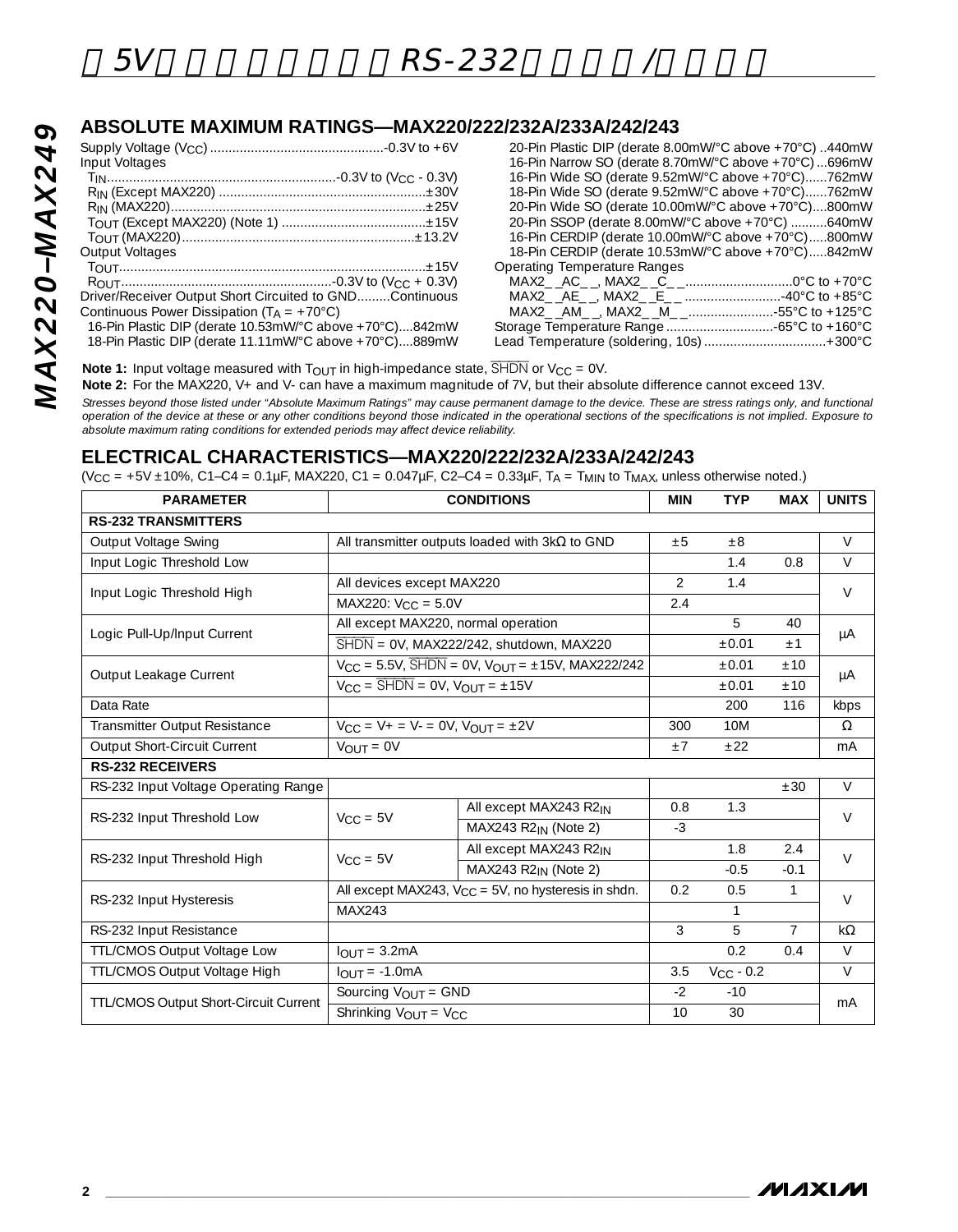*MAX220–MAX249*

**MAX220-MAX249** 

# **ABSOLUTE MAXIMUM RATINGS—MAX220/222/232A/233A/242/243**

| Input Voltages                                          |  |
|---------------------------------------------------------|--|
|                                                         |  |
|                                                         |  |
|                                                         |  |
|                                                         |  |
|                                                         |  |
| <b>Output Voltages</b>                                  |  |
|                                                         |  |
|                                                         |  |
| Driver/Receiver Output Short Circuited to GNDContinuous |  |
| Continuous Power Dissipation $(T_A = +70^{\circ}C)$     |  |
| 16-Pin Plastic DIP (derate 10.53mW/°C above +70°C)842mW |  |
| 18-Pin Plastic DIP (derate 11.11mW/°C above +70°C)889mW |  |

| 20-Pin Plastic DIP (derate 8.00mW/°C above +70°C) 440mW |
|---------------------------------------------------------|
| 16-Pin Narrow SO (derate 8.70mW/°C above +70°C) 696mW   |
| 16-Pin Wide SO (derate 9.52mW/°C above +70°C)762mW      |
| 18-Pin Wide SO (derate 9.52mW/°C above +70°C)762mW      |
| 20-Pin Wide SO (derate 10.00mW/°C above +70°C)800mW     |
| 20-Pin SSOP (derate 8.00mW/°C above +70°C) 640mW        |
| 16-Pin CERDIP (derate 10.00mW/°C above +70°C)800mW      |
| 18-Pin CERDIP (derate 10.53mW/°C above +70°C)842mW      |
| <b>Operating Temperature Ranges</b>                     |
|                                                         |
|                                                         |
|                                                         |
|                                                         |
| Lead Temperature (soldering, 10s)  +300°C               |

**Note 1:** Input voltage measured with  $T_{OUT}$  in high-impedance state,  $\overline{SHDN}$  or  $V_{CC} = 0V$ .

**Note 2:** For the MAX220, V+ and V- can have a maximum magnitude of 7V, but their absolute difference cannot exceed 13V.

*Stresses beyond those listed under "Absolute Maximum Ratings" may cause permanent damage to the device. These are stress ratings only, and functional operation of the device at these or any other conditions beyond those indicated in the operational sections of the specifications is not implied. Exposure to absolute maximum rating conditions for extended periods may affect device reliability.*

### **ELECTRICAL CHARACTERISTICS—MAX220/222/232A/233A/242/243**

 $(V_{CC} = +5V \pm 10\%$ , C1-C4 = 0.1µF, MAX220, C1 = 0.047µF, C2-C4 = 0.33µF, T<sub>A</sub> = T<sub>MIN</sub> to T<sub>MAX</sub>, unless otherwise noted.)

| <b>PARAMETER</b>                      |                                                           | <b>CONDITIONS</b>                                                                       | <b>MIN</b>     | <b>TYP</b>     | <b>MAX</b>     | <b>UNITS</b> |  |
|---------------------------------------|-----------------------------------------------------------|-----------------------------------------------------------------------------------------|----------------|----------------|----------------|--------------|--|
| <b>RS-232 TRANSMITTERS</b>            |                                                           |                                                                                         |                |                |                |              |  |
| Output Voltage Swing                  |                                                           | All transmitter outputs loaded with $3k\Omega$ to GND                                   | ±5             | $\pm 8$        |                | $\vee$       |  |
| Input Logic Threshold Low             |                                                           |                                                                                         |                | 1.4            | 0.8            | $\vee$       |  |
| Input Logic Threshold High            | All devices except MAX220                                 |                                                                                         | $\overline{2}$ | 1.4            |                | $\vee$       |  |
|                                       | MAX220: $V_{CC} = 5.0V$                                   |                                                                                         | 2.4            |                |                |              |  |
| Logic Pull-Up/Input Current           | All except MAX220, normal operation                       |                                                                                         |                | 5              | 40             |              |  |
|                                       |                                                           | $\overline{\text{SHDN}} = \text{OV}, \text{MAX222/242}, \text{shutdown}, \text{MAX220}$ |                | ±0.01          | $+1$           | μA           |  |
|                                       |                                                           | $V_{CC} = 5.5V$ , $\overline{SHDN} = 0V$ , $V_{OUT} = \pm 15V$ , $MAX222/242$           |                | ±0.01          | ±10            |              |  |
| Output Leakage Current                | $V_{CC}$ = $\overline{SHDN}$ = 0V, $V_{OUT}$ = $\pm 15V$  |                                                                                         |                | ±0.01          | $+10$          | μA           |  |
| Data Rate                             |                                                           |                                                                                         |                | 200            | 116            | kbps         |  |
| Transmitter Output Resistance         |                                                           | $V_{CC} = V_{+} = V_{-} = 0V$ , $V_{OUT} = \pm 2V$                                      |                |                |                | $\Omega$     |  |
| Output Short-Circuit Current          | $V_{OUIT} = 0V$                                           |                                                                                         |                |                |                | mA           |  |
| <b>RS-232 RECEIVERS</b>               |                                                           |                                                                                         |                |                |                |              |  |
| RS-232 Input Voltage Operating Range  |                                                           |                                                                                         |                |                | ±30            | $\vee$       |  |
| RS-232 Input Threshold Low            | $V_{CC} = 5V$                                             | All except MAX243 R2IN                                                                  | 0.8            | 1.3            |                | $\vee$       |  |
|                                       |                                                           | MAX243 R2 <sub>IN</sub> (Note 2)                                                        | $-3$           |                |                |              |  |
| RS-232 Input Threshold High           | $V_{CC} = 5V$                                             | All except MAX243 R2 <sub>IN</sub>                                                      |                | 1.8            | 2.4            | $\vee$       |  |
|                                       |                                                           | MAX243 R2 <sub>IN</sub> (Note 2)                                                        |                | $-0.5$         | $-0.1$         |              |  |
| RS-232 Input Hysteresis               | All except MAX243, $V_{CC} = 5V$ , no hysteresis in shdn. |                                                                                         | 0.2            | 0.5            | $\mathbf{1}$   | $\vee$       |  |
|                                       | MAX243                                                    |                                                                                         |                | $\mathbf{1}$   |                |              |  |
| RS-232 Input Resistance               |                                                           |                                                                                         | 3              | 5              | $\overline{7}$ | $k\Omega$    |  |
| TTL/CMOS Output Voltage Low           | $IOIIT = 3.2mA$                                           |                                                                                         |                | 0.2            | 0.4            | $\vee$       |  |
| TTL/CMOS Output Voltage High          | $IQIIT = -1.0mA$                                          |                                                                                         | 3.5            | $V_{CC}$ - 0.2 |                | $\vee$       |  |
|                                       | Sourcing $V_{OUT} = GND$                                  |                                                                                         | $-2$           | $-10$          |                |              |  |
| TTL/CMOS Output Short-Circuit Current | Shrinking VOUT = VCC                                      |                                                                                         |                | 30             |                | mA           |  |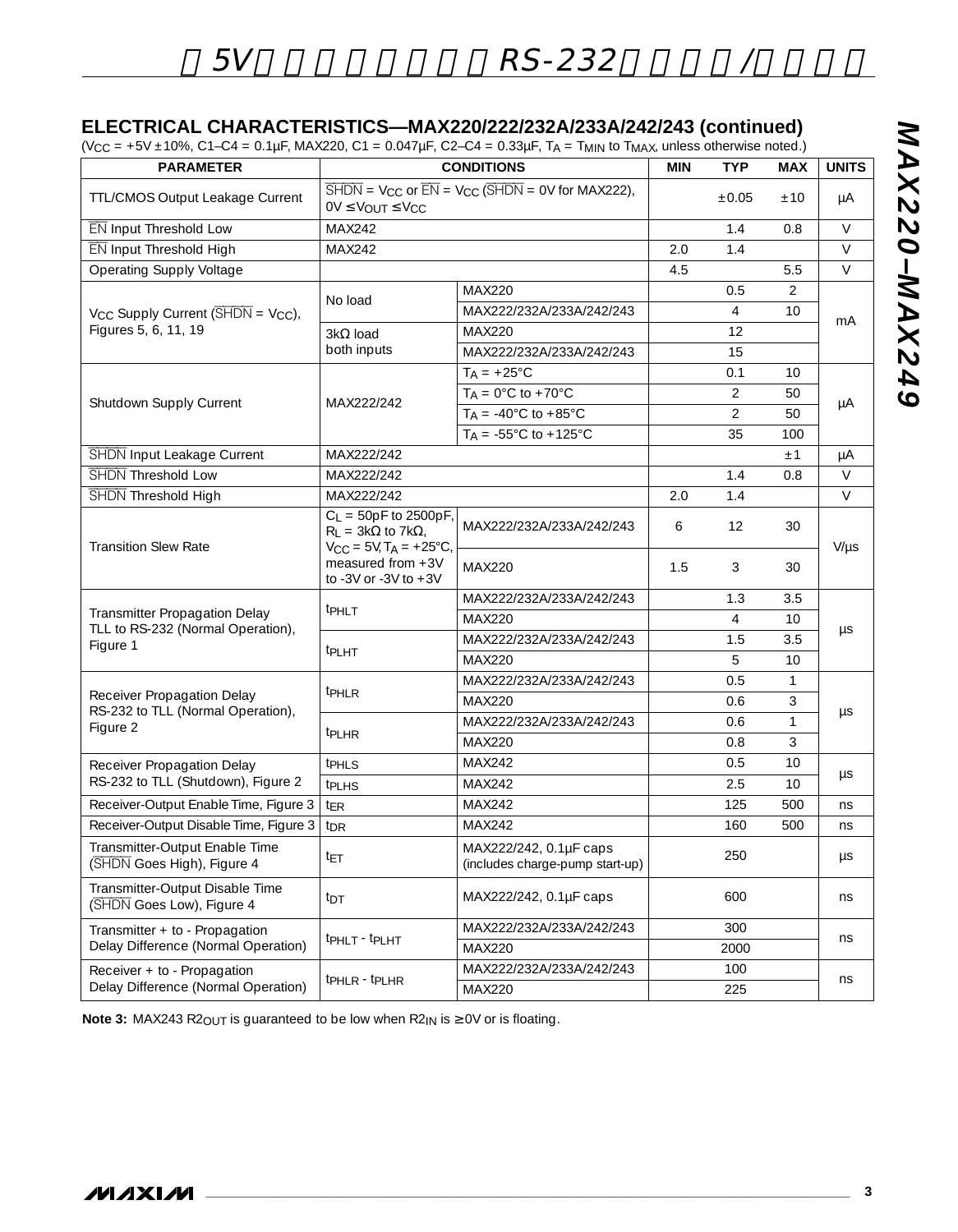### **ELECTRICAL CHARACTERISTICS—MAX220/222/232A/233A/242/243 (continued)**

 $(V_{CC} = +5V \pm 10\%$ , C1–C4 = 0.1µF, MAX220, C1 = 0.047µF, C2–C4 = 0.33µF, T<sub>A</sub> = T<sub>MIN</sub> to T<sub>MAX</sub>, unless otherwise noted.)

| <b>PARAMETER</b>                                                   | <b>CONDITIONS</b>                                                                                                                                     |                                                                                                                                                      |     | <b>TYP</b>     | <b>MAX</b>     | <b>UNITS</b> |  |
|--------------------------------------------------------------------|-------------------------------------------------------------------------------------------------------------------------------------------------------|------------------------------------------------------------------------------------------------------------------------------------------------------|-----|----------------|----------------|--------------|--|
| TTL/CMOS Output Leakage Current                                    | $0V \leq V_{OUT} \leq V_{CC}$                                                                                                                         | $\overline{\text{SHDN}} = \text{V}_{\text{CC}}$ or $\overline{\text{EN}} = \text{V}_{\text{CC}}$ ( $\overline{\text{SHDN}} = \text{OV}$ for MAX222), |     | $\pm 0.05$     | ±10            | μA           |  |
| EN Input Threshold Low                                             | MAX242                                                                                                                                                |                                                                                                                                                      |     | 1.4            | 0.8            | $\vee$       |  |
| EN Input Threshold High                                            | MAX242                                                                                                                                                |                                                                                                                                                      | 2.0 | 1.4            |                | V            |  |
| <b>Operating Supply Voltage</b>                                    |                                                                                                                                                       |                                                                                                                                                      | 4.5 |                | 5.5            | V            |  |
|                                                                    |                                                                                                                                                       | <b>MAX220</b>                                                                                                                                        |     | 0.5            | $\overline{2}$ | mA           |  |
| $V_{CC}$ Supply Current ( $\overline{\text{SHDN}}$ = $V_{CC}$ ),   | No load                                                                                                                                               | MAX222/232A/233A/242/243                                                                                                                             |     | $\overline{4}$ | 10             |              |  |
| Figures 5, 6, 11, 19                                               | $3k\Omega$ load                                                                                                                                       | <b>MAX220</b>                                                                                                                                        |     | 12             |                |              |  |
|                                                                    | both inputs                                                                                                                                           | MAX222/232A/233A/242/243                                                                                                                             |     | 15             |                |              |  |
|                                                                    |                                                                                                                                                       | $T_A = +25^{\circ}C$                                                                                                                                 |     | 0.1            | 10             |              |  |
|                                                                    |                                                                                                                                                       | $T_A = 0^\circ C$ to +70 $\circ C$                                                                                                                   |     | 2              | 50             |              |  |
| Shutdown Supply Current                                            | MAX222/242                                                                                                                                            | $T_A = -40^{\circ}$ C to $+85^{\circ}$ C                                                                                                             |     | 2              | 50             | μA           |  |
|                                                                    |                                                                                                                                                       | $T_A = -55^{\circ}$ C to $+125^{\circ}$ C                                                                                                            |     | 35             | 100            |              |  |
| SHDN Input Leakage Current                                         | MAX222/242                                                                                                                                            |                                                                                                                                                      |     |                | ±1             | μA           |  |
| SHDN Threshold Low                                                 | MAX222/242                                                                                                                                            |                                                                                                                                                      |     | 1.4            | 0.8            | $\vee$       |  |
| SHDN Threshold High                                                | MAX222/242                                                                                                                                            |                                                                                                                                                      | 2.0 | 1.4            |                | V            |  |
| <b>Transition Slew Rate</b>                                        | $C_L = 50pF$ to 2500pF,<br>$R_L = 3k\Omega$ to 7k $\Omega$ ,<br>$V_{CC} = 5V$ , $T_A = +25^{\circ}C$ ,<br>measured from +3V<br>to -3V or -3V to $+3V$ | MAX222/232A/233A/242/243                                                                                                                             | 6   | 12             | 30             | $V/\mu s$    |  |
|                                                                    |                                                                                                                                                       | <b>MAX220</b>                                                                                                                                        | 1.5 | 3              | 30             |              |  |
|                                                                    | <b>TPHLT</b>                                                                                                                                          | MAX222/232A/233A/242/243                                                                                                                             |     | 1.3            | 3.5            | μs           |  |
| Transmitter Propagation Delay<br>TLL to RS-232 (Normal Operation), |                                                                                                                                                       | <b>MAX220</b>                                                                                                                                        |     | $\overline{4}$ | 10             |              |  |
| Figure 1                                                           |                                                                                                                                                       | MAX222/232A/233A/242/243                                                                                                                             |     | 1.5            | 3.5            |              |  |
|                                                                    | t <sub>PLHT</sub>                                                                                                                                     | <b>MAX220</b>                                                                                                                                        |     | 5              | 10             |              |  |
|                                                                    |                                                                                                                                                       | MAX222/232A/233A/242/243                                                                                                                             |     | 0.5            | $\mathbf{1}$   |              |  |
| Receiver Propagation Delay<br>RS-232 to TLL (Normal Operation),    | t <sub>PHLR</sub>                                                                                                                                     | <b>MAX220</b>                                                                                                                                        |     | 0.6            | 3              |              |  |
| Figure 2                                                           |                                                                                                                                                       | MAX222/232A/233A/242/243                                                                                                                             |     | 0.6            | $\mathbf{1}$   | μs           |  |
|                                                                    | <sup>t</sup> PLHR                                                                                                                                     | MAX220                                                                                                                                               |     | 0.8            | 3              |              |  |
| Receiver Propagation Delay                                         | t <sub>PHLS</sub>                                                                                                                                     | MAX242                                                                                                                                               |     | 0.5            | 10             |              |  |
| RS-232 to TLL (Shutdown), Figure 2                                 | <b>t</b> PLHS                                                                                                                                         | MAX242                                                                                                                                               |     | 2.5            | 10             | μs           |  |
| Receiver-Output Enable Time, Figure 3                              | <sup>t</sup> ER                                                                                                                                       | MAX242                                                                                                                                               |     | 125            | 500            | ns           |  |
| Receiver-Output Disable Time, Figure 3                             | t <sub>DR</sub>                                                                                                                                       | MAX242                                                                                                                                               |     | 160            | 500            | ns           |  |
| Transmitter-Output Enable Time<br>(SHDN Goes High), Figure 4       | t <sub>ET</sub>                                                                                                                                       | MAX222/242, 0.1µF caps<br>(includes charge-pump start-up)                                                                                            |     | 250            |                | $\mu s$      |  |
| Transmitter-Output Disable Time<br>(SHDN Goes Low), Figure 4       | tdt                                                                                                                                                   | MAX222/242, 0.1µF caps                                                                                                                               |     | 600            |                | ns           |  |
| Transmitter + to - Propagation                                     |                                                                                                                                                       | MAX222/232A/233A/242/243                                                                                                                             |     | 300            |                |              |  |
| Delay Difference (Normal Operation)                                | tphLT - tpLHT                                                                                                                                         | MAX220                                                                                                                                               |     | 2000           | ns             |              |  |
| Receiver + to - Propagation                                        |                                                                                                                                                       | MAX222/232A/233A/242/243                                                                                                                             |     | 100            |                |              |  |
| Delay Difference (Normal Operation)                                | tpHLR - tpLHR                                                                                                                                         | MAX220                                                                                                                                               | 225 |                |                | ns           |  |

Note 3: MAX243 R2<sub>OUT</sub> is guaranteed to be low when R2<sub>IN</sub> is ≥ 0V or is floating.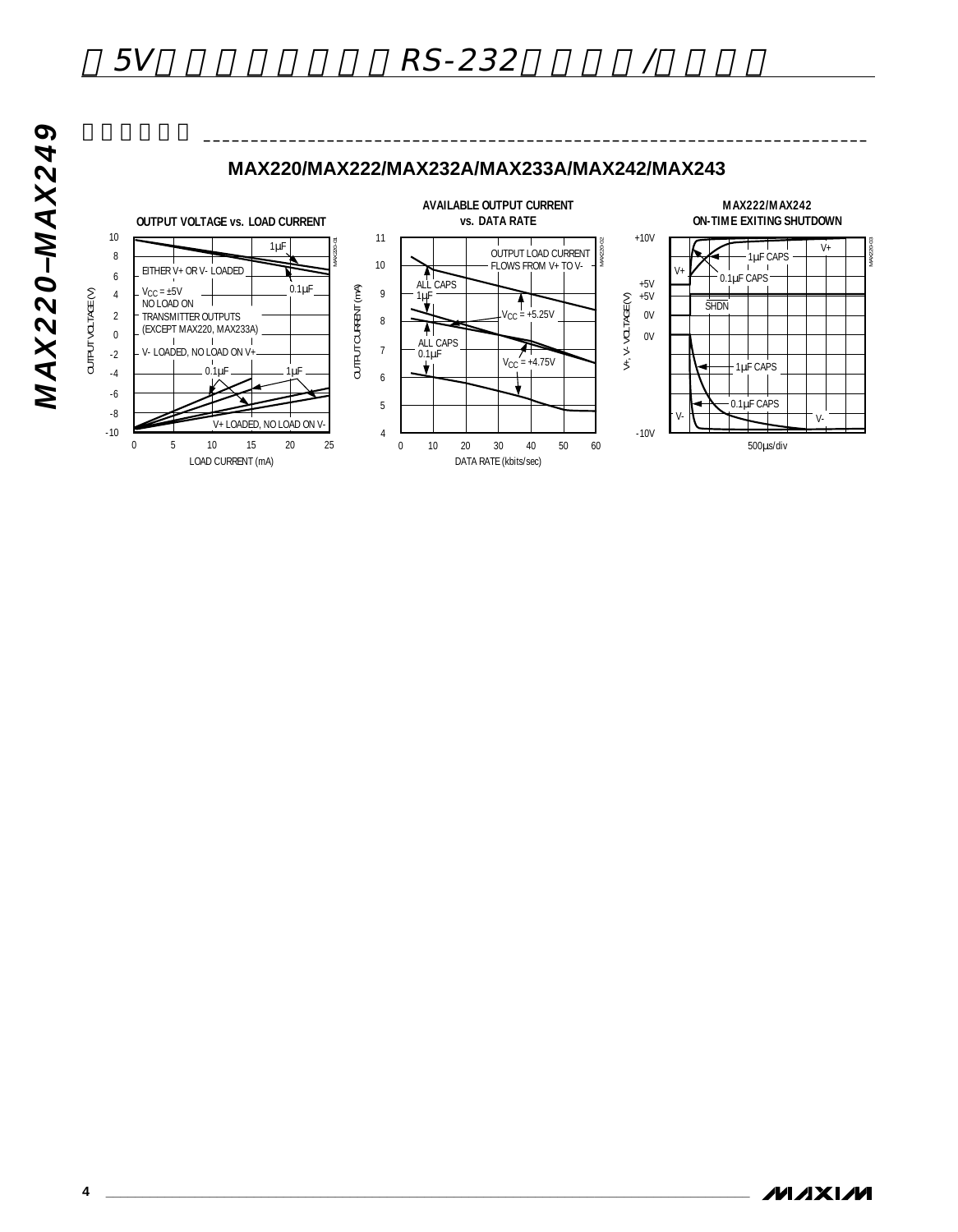

 $\overbrace{\hspace{15cm}}$ 



**MAX220-MAX249** *MAX220–MAX249*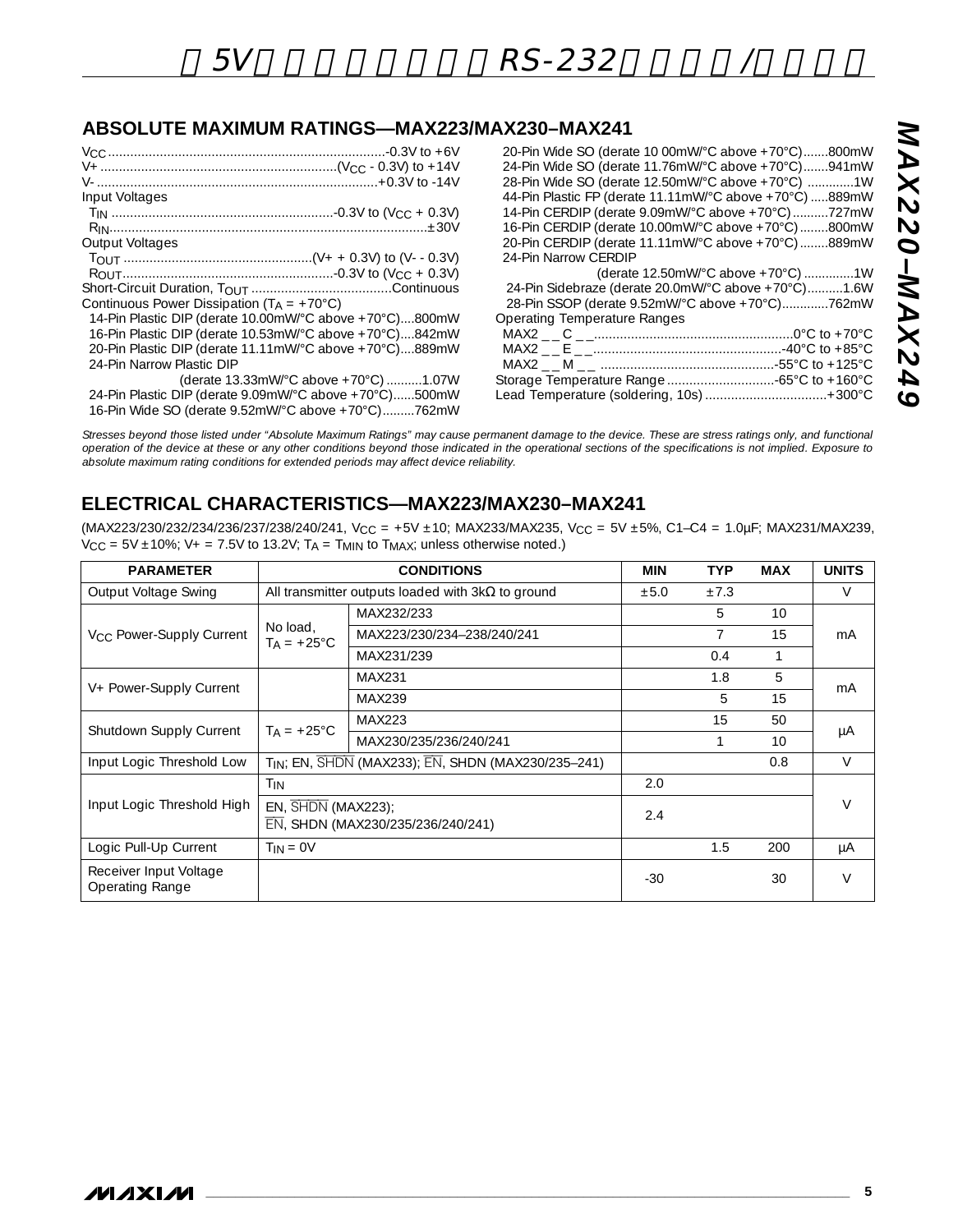## **ABSOLUTE MAXIMUM RATINGS—MAX223/MAX230–MAX241**

| Input Voltages                                          |
|---------------------------------------------------------|
|                                                         |
|                                                         |
| Output Voltages                                         |
|                                                         |
|                                                         |
|                                                         |
| Continuous Power Dissipation $(T_A = +70^{\circ}C)$     |
| 14-Pin Plastic DIP (derate 10.00mW/°C above +70°C)800mW |
| 16-Pin Plastic DIP (derate 10.53mW/°C above +70°C)842mW |
| 20-Pin Plastic DIP (derate 11.11mW/°C above +70°C)889mW |
| 24-Pin Narrow Plastic DIP                               |
| (derate 13.33mW/°C above +70°C) 1.07W                   |
| 24-Pin Plastic DIP (derate 9.09mW/°C above +70°C)500mW  |
| 16-Pin Wide SO (derate 9.52mW/°C above +70°C)762mW      |

| 20-Pin Wide SO (derate 10 00mW/°C above +70°C)800mW<br>24-Pin Wide SO (derate 11.76mW/°C above +70°C)941mW |
|------------------------------------------------------------------------------------------------------------|
| 28-Pin Wide SO (derate 12.50mW/°C above +70°C) 1W                                                          |
| 44-Pin Plastic FP (derate 11.11mW/°C above +70°C) 889mW                                                    |
| 14-Pin CERDIP (derate 9.09mW/°C above +70°C) 727mW                                                         |
| 16-Pin CERDIP (derate 10.00mW/°C above +70°C)800mW                                                         |
| 20-Pin CERDIP (derate 11.11mW/°C above +70°C)889mW                                                         |
| 24-Pin Narrow CERDIP                                                                                       |
| (derate 12.50mW/°C above +70°C) 1W                                                                         |
| 24-Pin Sidebraze (derate 20.0mW/°C above +70°C)1.6W                                                        |
| 28-Pin SSOP (derate 9.52mW/°C above +70°C)762mW                                                            |
| <b>Operating Temperature Ranges</b>                                                                        |
|                                                                                                            |
|                                                                                                            |
|                                                                                                            |
| Storage Temperature Range  -65°C to +160°C                                                                 |
| Lead Temperature (soldering, 10s)  + 300°C                                                                 |
|                                                                                                            |

*Stresses beyond those listed under "Absolute Maximum Ratings" may cause permanent damage to the device. These are stress ratings only, and functional operation of the device at these or any other conditions beyond those indicated in the operational sections of the specifications is not implied. Exposure to absolute maximum rating conditions for extended periods may affect device reliability.*

## **ELECTRICAL CHARACTERISTICS—MAX223/MAX230–MAX241**

(MAX223/230/232/234/236/237/238/240/241, V<sub>CC</sub> = +5V ±10; MAX233/MAX235, V<sub>CC</sub> = 5V ±5%, C1-C4 = 1.0µF; MAX231/MAX239,  $V_{CC}$  = 5V  $\pm$ 10%; V + = 7.5V to 13.2V; T<sub>A</sub> = T<sub>MIN</sub> to T<sub>MAX</sub>; unless otherwise noted.)

| <b>PARAMETER</b>                          |                                                         | <b>CONDITIONS</b>                                              | <b>MIN</b> | <b>TYP</b> | <b>MAX</b>      | <b>UNITS</b> |
|-------------------------------------------|---------------------------------------------------------|----------------------------------------------------------------|------------|------------|-----------------|--------------|
| Output Voltage Swing                      |                                                         | All transmitter outputs loaded with $3k\Omega$ to ground       |            |            |                 | V            |
|                                           |                                                         | MAX232/233                                                     |            | 5          | 10 <sup>1</sup> |              |
| V <sub>CC</sub> Power-Supply Current      | No load,<br>$T_A = +25^{\circ}C$                        | MAX223/230/234-238/240/241                                     |            | 7          | 15              | mA           |
|                                           |                                                         | MAX231/239                                                     |            | 0.4        |                 |              |
|                                           |                                                         | MAX231                                                         |            | 1.8        | 5               |              |
| V+ Power-Supply Current                   |                                                         | MAX239                                                         |            | 5          | 15              | mA           |
| Shutdown Supply Current                   | $T_A = +25^{\circ}C$                                    | MAX223                                                         |            | 15         | 50              |              |
|                                           |                                                         | MAX230/235/236/240/241                                         |            |            | 10 <sup>1</sup> | μA           |
| Input Logic Threshold Low                 |                                                         | T <sub>IN</sub> ; EN, SHDN (MAX233); EN, SHDN (MAX230/235-241) |            |            | 0.8             | $\vee$       |
|                                           | T <sub>IN</sub>                                         |                                                                | 2.0        |            |                 |              |
| Input Logic Threshold High                | EN, SHDN (MAX223);<br>EN, SHDN (MAX230/235/236/240/241) |                                                                | 2.4        |            |                 | $\vee$       |
| Logic Pull-Up Current                     | $T_{IN} = 0V$                                           |                                                                |            | 1.5        | 200             | μA           |
| Receiver Input Voltage<br>Operating Range |                                                         |                                                                | $-30$      |            | 30              | $\vee$       |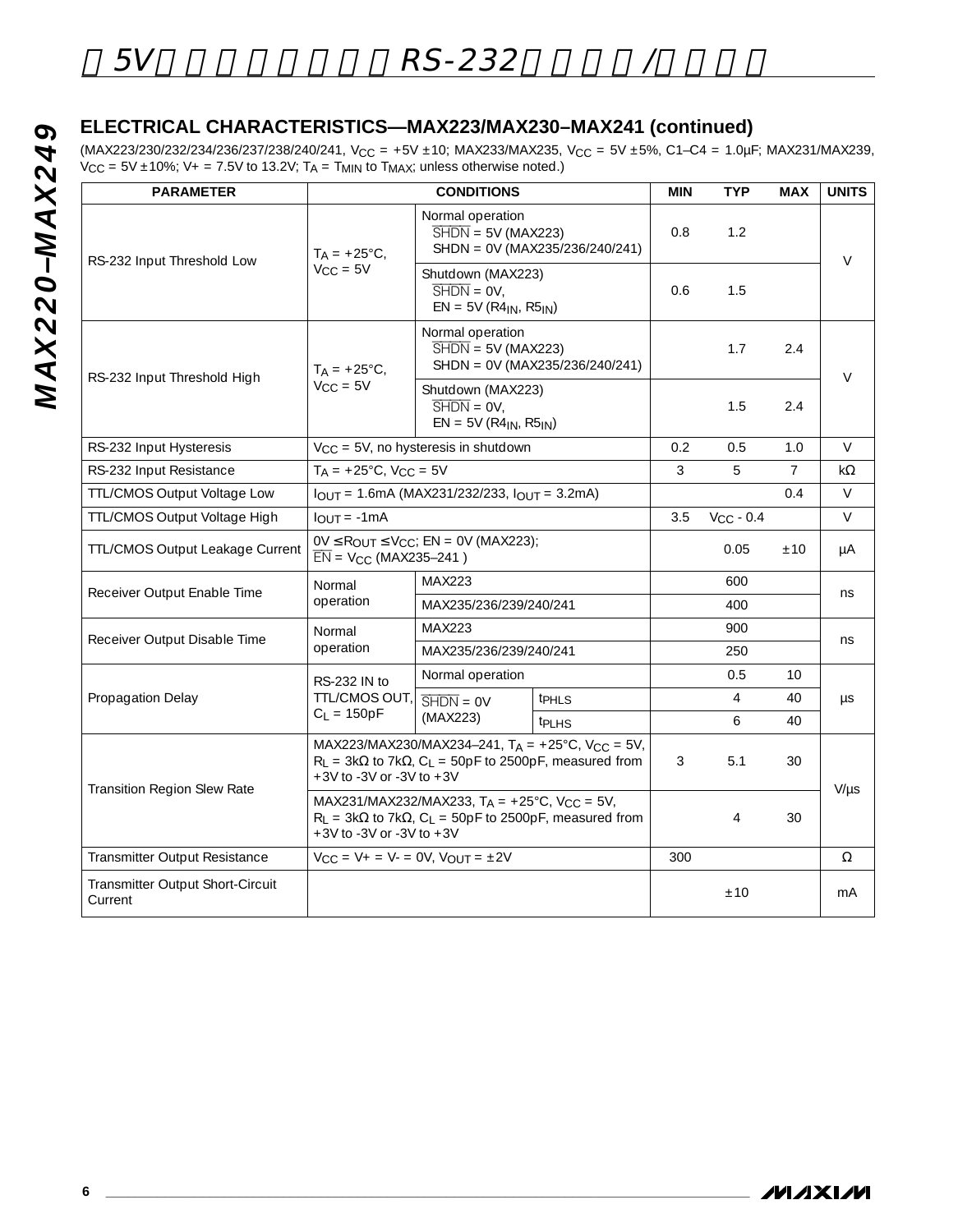# **ELECTRICAL CHARACTERISTICS—MAX223/MAX230–MAX241 (continued)**

(MAX223/230/232/234/236/237/238/240/241, V<sub>CC</sub> = +5V ±10; MAX233/MAX235, V<sub>CC</sub> = 5V ±5%, C1-C4 = 1.0µF; MAX231/MAX239,  $V_{\text{CC}} = 5V \pm 10\%$ ;  $V_{+} = 7.5V$  to 13.2V;  $T_{\text{A}} = T_{\text{MIN}}$  to  $T_{\text{MAX}}$ ; unless otherwise noted.)

| <b>PARAMETER</b>                            |                                                                                                                                                                                         | <b>CONDITIONS</b>                                                                                    |                                | <b>MIN</b> | <b>TYP</b>     | <b>MAX</b>      | <b>UNITS</b> |
|---------------------------------------------|-----------------------------------------------------------------------------------------------------------------------------------------------------------------------------------------|------------------------------------------------------------------------------------------------------|--------------------------------|------------|----------------|-----------------|--------------|
| RS-232 Input Threshold Low                  | $T_A = +25^{\circ}C$ ,                                                                                                                                                                  | Normal operation<br>$\overline{\text{SHDN}} = 5V \text{ (MAX223)}$<br>SHDN = 0V (MAX235/236/240/241) | 0.8                            | 1.2        |                | $\vee$          |              |
|                                             | $V_{CC} = 5V$                                                                                                                                                                           | Shutdown (MAX223)<br>$\overline{\text{SHDN}} = \text{OV}$<br>$EN = 5V (R4_{IN}, R5_{IN})$            | 0.6                            | 1.5        |                |                 |              |
|                                             | $T_A = +25^{\circ}C$ ,                                                                                                                                                                  | Normal operation<br>$\overline{\text{SHDN}} = 5V \text{ (MAX223)}$                                   | SHDN = 0V (MAX235/236/240/241) |            | 1.7            | 2.4             |              |
| RS-232 Input Threshold High                 | $V_{CC} = 5V$                                                                                                                                                                           | Shutdown (MAX223)<br>$\overline{\text{SHDN}} = \text{OV}$ .<br>$EN = 5V (R4IN, R5IN)$                |                                | 1.5        | 2.4            | $\vee$          |              |
| RS-232 Input Hysteresis                     |                                                                                                                                                                                         | $V_{CC}$ = 5V, no hysteresis in shutdown                                                             |                                | 0.2        | 0.5            | 1.0             | $\vee$       |
| RS-232 Input Resistance                     |                                                                                                                                                                                         | $T_A = +25^{\circ}C$ , $V_{CC} = 5V$                                                                 |                                |            | 5              | $\overline{7}$  | kΩ           |
| <b>TTL/CMOS Output Voltage Low</b>          | $I_{OUT} = 1.6mA (MAX231/232/233, I_{OUT} = 3.2mA)$                                                                                                                                     |                                                                                                      |                                |            |                | 0.4             | V            |
| TTL/CMOS Output Voltage High                | $I_{OUT} = -1mA$                                                                                                                                                                        |                                                                                                      |                                |            | $V_{CC}$ - 0.4 |                 | $\vee$       |
| TTL/CMOS Output Leakage Current             | $0V \le R_{\text{OUT}} \le V_{\text{CC}}$ ; EN = 0V (MAX223);<br>$\overline{EN}$ = V <sub>CC</sub> (MAX235-241)                                                                         |                                                                                                      |                                |            | 0.05           | ±10             | μA           |
| Receiver Output Enable Time                 | Normal                                                                                                                                                                                  | <b>MAX223</b>                                                                                        |                                |            | 600            |                 | ns           |
|                                             | operation                                                                                                                                                                               | MAX235/236/239/240/241                                                                               |                                |            | 400            |                 |              |
| Receiver Output Disable Time                | Normal<br>operation                                                                                                                                                                     | MAX223                                                                                               |                                |            | 900            |                 | ns           |
|                                             |                                                                                                                                                                                         | MAX235/236/239/240/241                                                                               |                                |            | 250            |                 |              |
|                                             | RS-232 IN to                                                                                                                                                                            | Normal operation                                                                                     |                                |            | 0.5            | 10              |              |
| Propagation Delay                           | TTL/CMOS OUT,                                                                                                                                                                           | $\overline{\text{SHDN}} = \text{OV}$                                                                 | t <sub>PHLS</sub>              |            | $\overline{4}$ | 40              | $\mu s$      |
|                                             | $C_L = 150pF$                                                                                                                                                                           | (MAX223)                                                                                             | <b>t</b> PLHS                  |            | 6              | 40 <sup>°</sup> |              |
|                                             | MAX223/MAX230/MAX234-241, $T_A = +25^{\circ}C$ , $V_{CC} = 5V$ ,<br>$R_L$ = 3k $\Omega$ to 7k $\Omega$ , C <sub>L</sub> = 50pF to 2500pF, measured from<br>$+3V$ to -3V or -3V to $+3V$ |                                                                                                      |                                | 3          | 5.1            | 30              | $V/\mu s$    |
| Transition Region Slew Rate                 | MAX231/MAX232/MAX233, $T_A = +25^{\circ}C$ , $V_{CC} = 5V$ ,<br>$R_L$ = 3k $\Omega$ to 7k $\Omega$ , C <sub>L</sub> = 50pF to 2500pF, measured from<br>$+3V$ to -3V or -3V to $+3V$     |                                                                                                      |                                |            | $\overline{4}$ | 30              |              |
| Transmitter Output Resistance               | $V_{CC} = V_{+} = V_{-} = 0V, V_{OUT} = \pm 2V$                                                                                                                                         |                                                                                                      |                                | 300        |                |                 | Ω            |
| Transmitter Output Short-Circuit<br>Current |                                                                                                                                                                                         |                                                                                                      |                                |            | ±10            |                 | mA           |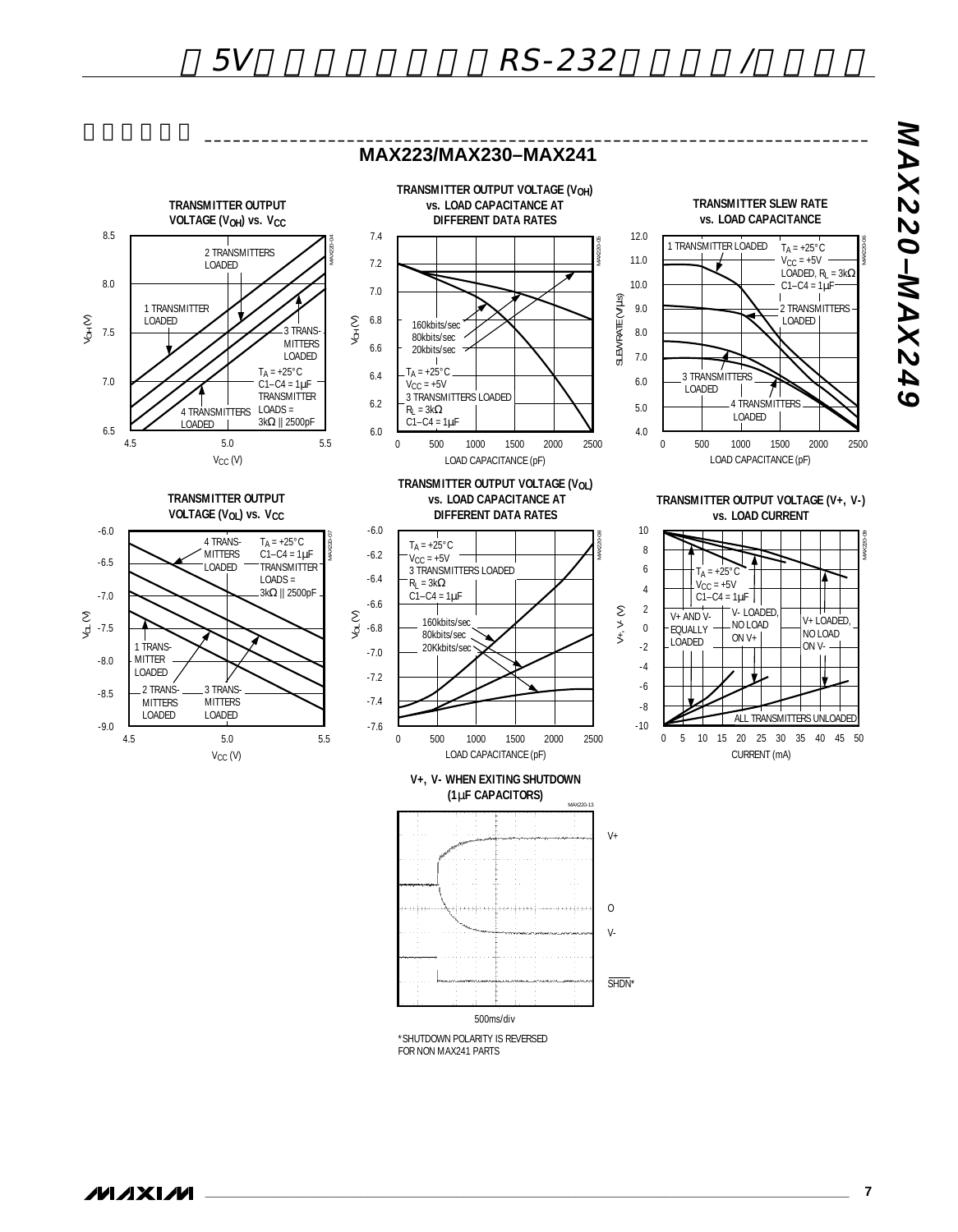

\*SHUTDOWN POLARITY IS REVERSED FOR NON MAX241 PARTS

**\_\_\_\_\_\_\_\_\_\_\_\_\_\_\_\_\_\_\_\_\_\_\_\_\_\_\_\_\_\_\_\_\_\_\_\_\_\_\_\_\_\_\_\_\_\_\_\_\_\_\_\_\_\_\_\_\_\_\_\_\_\_\_\_\_\_\_\_\_\_\_\_\_\_\_\_\_\_\_\_\_\_\_\_\_\_\_ 7**

*MAX220–MAX249*

**PASXAM-OSSXAM**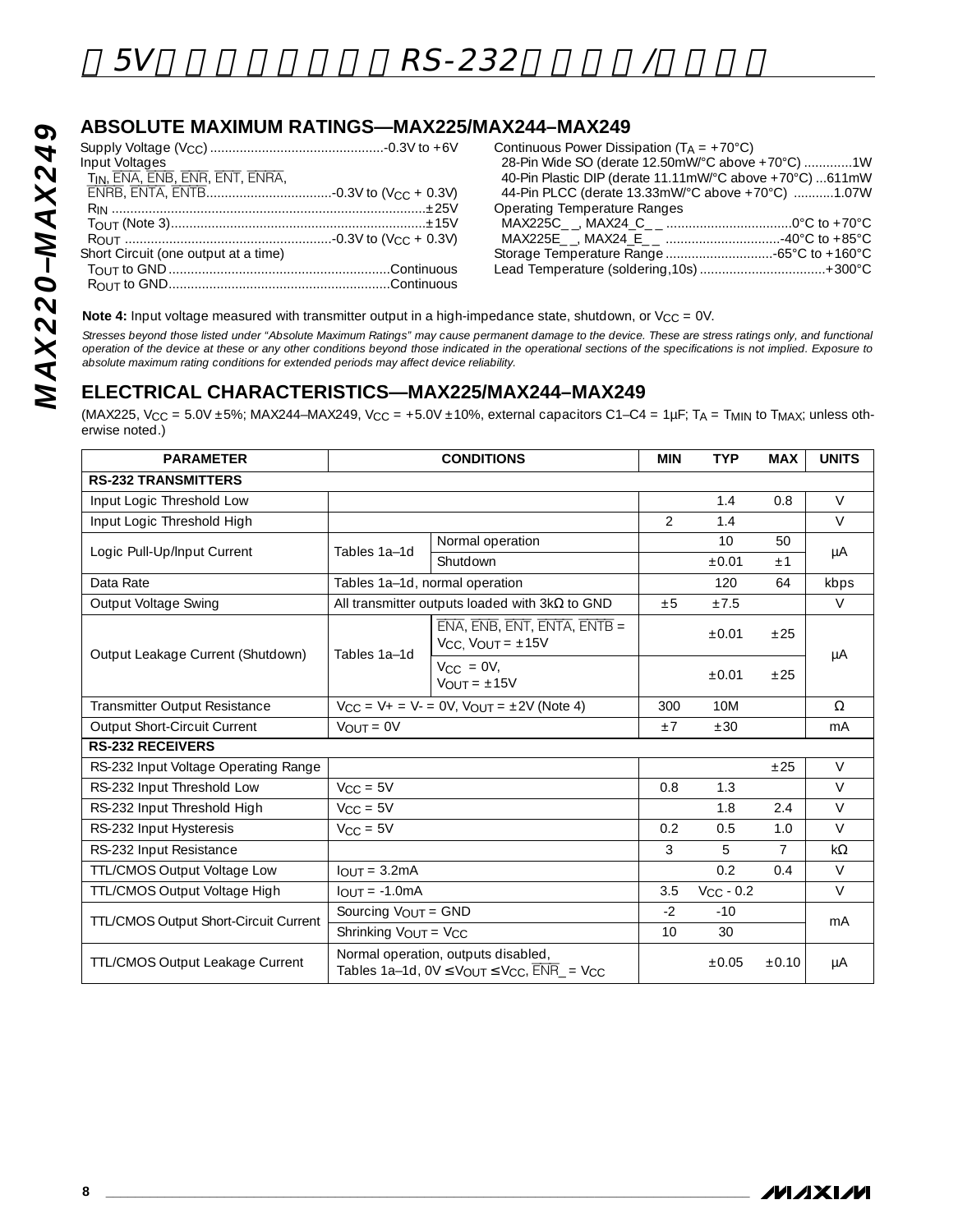## **ABSOLUTE MAXIMUM RATINGS—MAX225/MAX244–MAX249**

| Input Voltages                       |
|--------------------------------------|
| TIN, ENA, ENB, ENR, ENT, ENRA.       |
|                                      |
|                                      |
|                                      |
|                                      |
| Short Circuit (one output at a time) |
|                                      |
|                                      |

| Continuous Power Dissipation ( $T_A = +70^{\circ}C$ )    |  |
|----------------------------------------------------------|--|
| 28-Pin Wide SO (derate 12.50mW/°C above +70°C) 1W        |  |
| 40-Pin Plastic DIP (derate 11.11mW/°C above +70°C) 611mW |  |
| 44-Pin PLCC (derate 13.33mW/°C above +70°C) 1.07W        |  |
| <b>Operating Temperature Ranges</b>                      |  |
|                                                          |  |
|                                                          |  |
|                                                          |  |
|                                                          |  |

**Note 4:** Input voltage measured with transmitter output in a high-impedance state, shutdown, or V<sub>CC</sub> = 0V.

*Stresses beyond those listed under "Absolute Maximum Ratings" may cause permanent damage to the device. These are stress ratings only, and functional operation of the device at these or any other conditions beyond those indicated in the operational sections of the specifications is not implied. Exposure to absolute maximum rating conditions for extended periods may affect device reliability.*

### **ELECTRICAL CHARACTERISTICS—MAX225/MAX244–MAX249**

(MAX225, V<sub>CC</sub> = 5.0V ±5%; MAX244-MAX249, V<sub>CC</sub> = +5.0V ±10%, external capacitors C1-C4 = 1µF; TA = T<sub>MIN</sub> to T<sub>MAX</sub>; unless otherwise noted.)

| <b>PARAMETER</b>                       | <b>CONDITIONS</b>               |                                                                                                                                              |                | <b>TYP</b>     | <b>MAX</b>     | <b>UNITS</b>   |
|----------------------------------------|---------------------------------|----------------------------------------------------------------------------------------------------------------------------------------------|----------------|----------------|----------------|----------------|
| <b>RS-232 TRANSMITTERS</b>             |                                 |                                                                                                                                              |                |                |                |                |
| Input Logic Threshold Low              |                                 |                                                                                                                                              |                | 1.4            | 0.8            | $\vee$         |
| Input Logic Threshold High             |                                 |                                                                                                                                              | $\overline{2}$ | 1.4            |                | $\vee$         |
| Logic Pull-Up/Input Current            | Tables 1a-1d                    | Normal operation                                                                                                                             |                | 10             | 50             |                |
|                                        |                                 | Shutdown                                                                                                                                     |                | $\pm 0.01$     | ±1             | μA             |
| Data Rate                              |                                 | Tables 1a-1d, normal operation                                                                                                               |                | 120            | 64             | kbps           |
| Output Voltage Swing                   |                                 | All transmitter outputs loaded with $3k\Omega$ to GND                                                                                        | $+5$           | ±7.5           |                | $\vee$         |
| Output Leakage Current (Shutdown)      | Tables 1a-1d                    | $ENA$ , $ENB$ , $ENT$ , $ENTA$ , $ENTB =$<br>$V_{CC}$ , $V_{OUT} = \pm 15V$                                                                  |                | ±0.01          | ±25            |                |
|                                        |                                 | $V_{\text{CC}} = \text{OV}$ ,<br>$V_{OUIT} = \pm 15V$                                                                                        |                | $\pm 0.01$     | ±25            | μA             |
| Transmitter Output Resistance          |                                 | $V_{CC} = V_{+} = V_{-} = 0V$ , $V_{OUT} = \pm 2V$ (Note 4)                                                                                  | 300            | 10M            |                | $\Omega$       |
| Output Short-Circuit Current           | $V_{OUT} = 0V$                  |                                                                                                                                              | $+7$           | ±30            |                | mA             |
| <b>RS-232 RECEIVERS</b>                |                                 |                                                                                                                                              |                |                |                |                |
| RS-232 Input Voltage Operating Range   |                                 |                                                                                                                                              |                |                | ±25            | $\vee$         |
| RS-232 Input Threshold Low             | $V_{CC} = 5V$                   |                                                                                                                                              | 0.8            | 1.3            |                | $\vee$         |
| RS-232 Input Threshold High            | $V_{CC} = 5V$                   |                                                                                                                                              |                | 1.8            | 2.4            | $\vee$         |
| RS-232 Input Hysteresis                | $V_{CC} = 5V$                   |                                                                                                                                              | 0.2            | 0.5            | 1.0            | $\vee$         |
| RS-232 Input Resistance                |                                 |                                                                                                                                              | 3              | 5              | $\overline{7}$ | $k\Omega$      |
| <b>TTL/CMOS Output Voltage Low</b>     | $IOUT = 3.2mA$                  |                                                                                                                                              |                | 0.2            | 0.4            | $\vee$         |
| TTL/CMOS Output Voltage High           | $I_{OUIT} = -1.0mA$             |                                                                                                                                              | 3.5            | $V_{CC}$ - 0.2 |                | $\vee$         |
| TTL/CMOS Output Short-Circuit Current  | Sourcing V <sub>OUT</sub> = GND |                                                                                                                                              | $-2$           | $-10$          |                | m <sub>A</sub> |
|                                        | Shrinking VOUT = VCC            |                                                                                                                                              |                | 30             |                |                |
| <b>TTL/CMOS Output Leakage Current</b> |                                 | Normal operation, outputs disabled,<br>Tables 1a-1d, $0V \leq V_{\text{OUT}} \leq V_{\text{CC}}$ , $\overline{\text{ENR}}$ = $V_{\text{CC}}$ |                | $\pm 0.05$     | ±0.10          | μA             |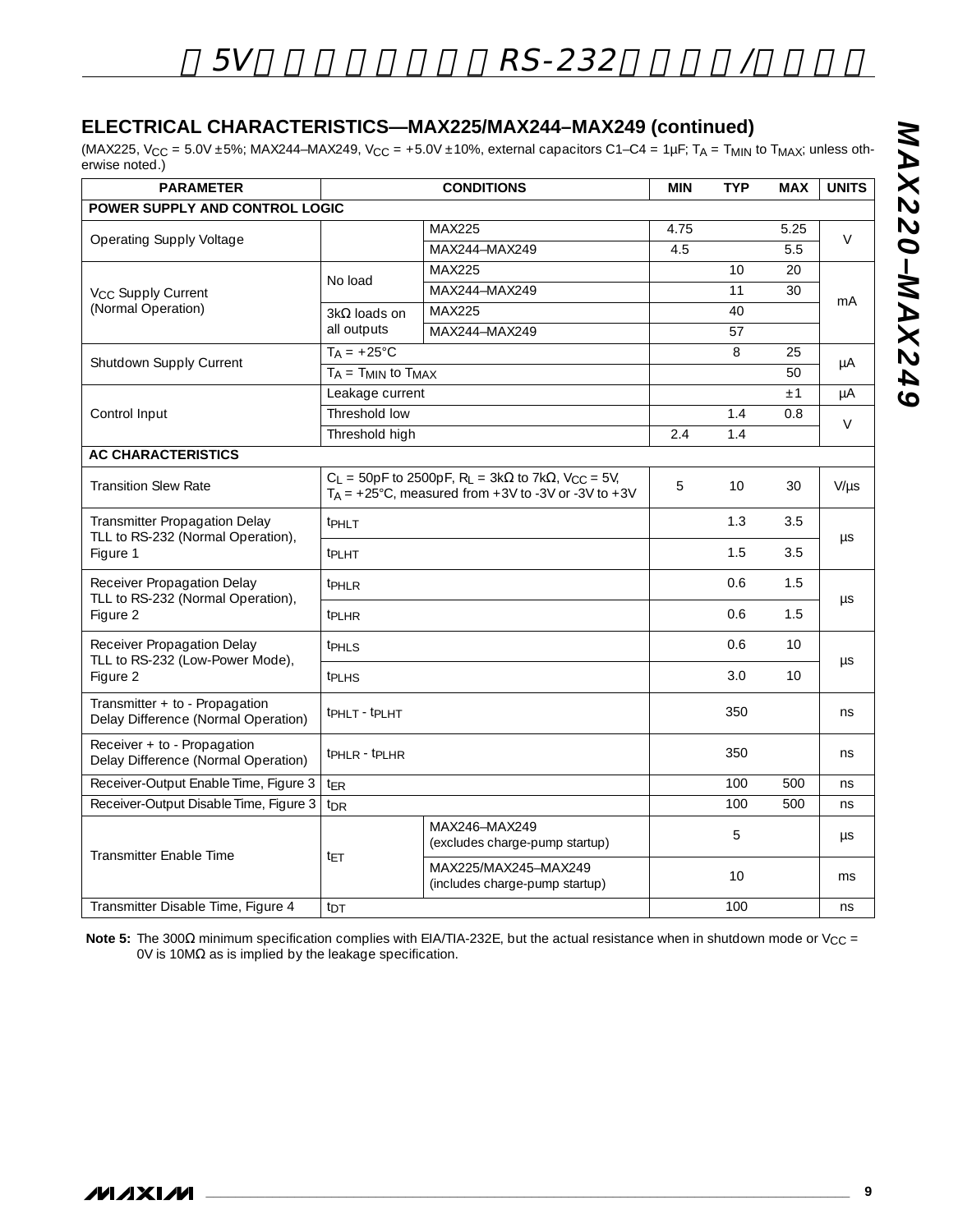## **ELECTRICAL CHARACTERISTICS—MAX225/MAX244–MAX249 (continued)**

(MAX225, V<sub>CC</sub> = 5.0V ±5%; MAX244–MAX249, V<sub>CC</sub> = +5.0V ±10%, external capacitors C1–C4 = 1µF; T<sub>A</sub> = T<sub>MIN</sub> to T<sub>MAX</sub>; unless otherwise noted.)

| <b>PARAMETER</b>                                                      |                              | <b>CONDITIONS</b>                                                                                                                                                | <b>MIN</b> | <b>TYP</b> | <b>MAX</b> | <b>UNITS</b> |
|-----------------------------------------------------------------------|------------------------------|------------------------------------------------------------------------------------------------------------------------------------------------------------------|------------|------------|------------|--------------|
| <b>POWER SUPPLY AND CONTROL LOGIC</b>                                 |                              |                                                                                                                                                                  |            |            |            |              |
|                                                                       |                              | <b>MAX225</b>                                                                                                                                                    | 4.75       |            | 5.25       | $\vee$       |
| <b>Operating Supply Voltage</b>                                       |                              | MAX244-MAX249                                                                                                                                                    | 4.5        |            | 5.5        |              |
|                                                                       | No load                      | <b>MAX225</b>                                                                                                                                                    |            | 10         | 20         |              |
| V <sub>CC</sub> Supply Current                                        |                              | MAX244-MAX249                                                                                                                                                    |            | 11         | 30         | mA           |
| (Normal Operation)                                                    | $3k\Omega$ loads on          | MAX225                                                                                                                                                           |            | 40         |            |              |
|                                                                       | all outputs                  | MAX244-MAX249                                                                                                                                                    |            | 57         |            |              |
| Shutdown Supply Current                                               | $T_A = +25^{\circ}C$         |                                                                                                                                                                  |            | 8          | 25         | μA           |
|                                                                       | $T_A = T_{MIN}$ to $T_{MAX}$ |                                                                                                                                                                  |            |            | 50         |              |
|                                                                       | Leakage current              |                                                                                                                                                                  |            |            | $\pm$ 1    | μA           |
| Control Input                                                         | Threshold low                |                                                                                                                                                                  |            | 1.4        | 0.8        | $\vee$       |
|                                                                       | Threshold high               |                                                                                                                                                                  | 2.4        | 1.4        |            |              |
| <b>AC CHARACTERISTICS</b>                                             |                              |                                                                                                                                                                  |            |            |            |              |
| <b>Transition Slew Rate</b>                                           |                              | $C_L$ = 50pF to 2500pF, R <sub>L</sub> = 3k $\Omega$ to 7k $\Omega$ , V <sub>CC</sub> = 5V,<br>$T_A = +25^{\circ}$ C, measured from $+3V$ to -3V or -3V to $+3V$ | 5          | 10         | 30         | $V/\mu s$    |
| Transmitter Propagation Delay<br>TLL to RS-232 (Normal Operation),    | <b>t</b> PHLT                |                                                                                                                                                                  | 1.3        | 3.5        | $\mu s$    |              |
| Figure 1                                                              | t <sub>PLHT</sub>            |                                                                                                                                                                  |            | 1.5        | 3.5        |              |
| Receiver Propagation Delay<br>TLL to RS-232 (Normal Operation),       | t <sub>PHLR</sub>            |                                                                                                                                                                  | 0.6        | 1.5        | μs         |              |
| Figure 2                                                              | t <sub>PI HR</sub>           |                                                                                                                                                                  | 0.6        | 1.5        |            |              |
| Receiver Propagation Delay<br>TLL to RS-232 (Low-Power Mode),         | tp <sub>HLS</sub>            |                                                                                                                                                                  | 0.6        | 10         |            |              |
| Figure 2                                                              | t <sub>PI HS</sub>           |                                                                                                                                                                  |            | 3.0        | 10         | μs           |
| Transmitter + to - Propagation<br>Delay Difference (Normal Operation) | tpHLT - tpLHT                |                                                                                                                                                                  |            | 350        |            | ns           |
| Receiver + to - Propagation<br>Delay Difference (Normal Operation)    | tpHLR - tpLHR                |                                                                                                                                                                  |            | 350        |            | ns           |
| Receiver-Output Enable Time, Figure 3                                 | $t_{FR}$                     |                                                                                                                                                                  | 100        | 500        | ns         |              |
| Receiver-Output Disable Time, Figure 3                                | <b>t</b> <sub>DR</sub>       |                                                                                                                                                                  |            | 100        | 500        | ns           |
| <b>Transmitter Enable Time</b>                                        |                              | MAX246-MAX249<br>(excludes charge-pump startup)                                                                                                                  |            | 5          |            | μs           |
|                                                                       | tet                          | MAX225/MAX245-MAX249<br>(includes charge-pump startup)                                                                                                           |            | 10         |            | ms           |
| Transmitter Disable Time, Figure 4                                    | t <sub>DT</sub>              |                                                                                                                                                                  | 100        |            | ns         |              |

Note 5: The 300Ω minimum specification complies with EIA/TIA-232E, but the actual resistance when in shutdown mode or V<sub>CC</sub> = 0V is 10MΩ as is implied by the leakage specification.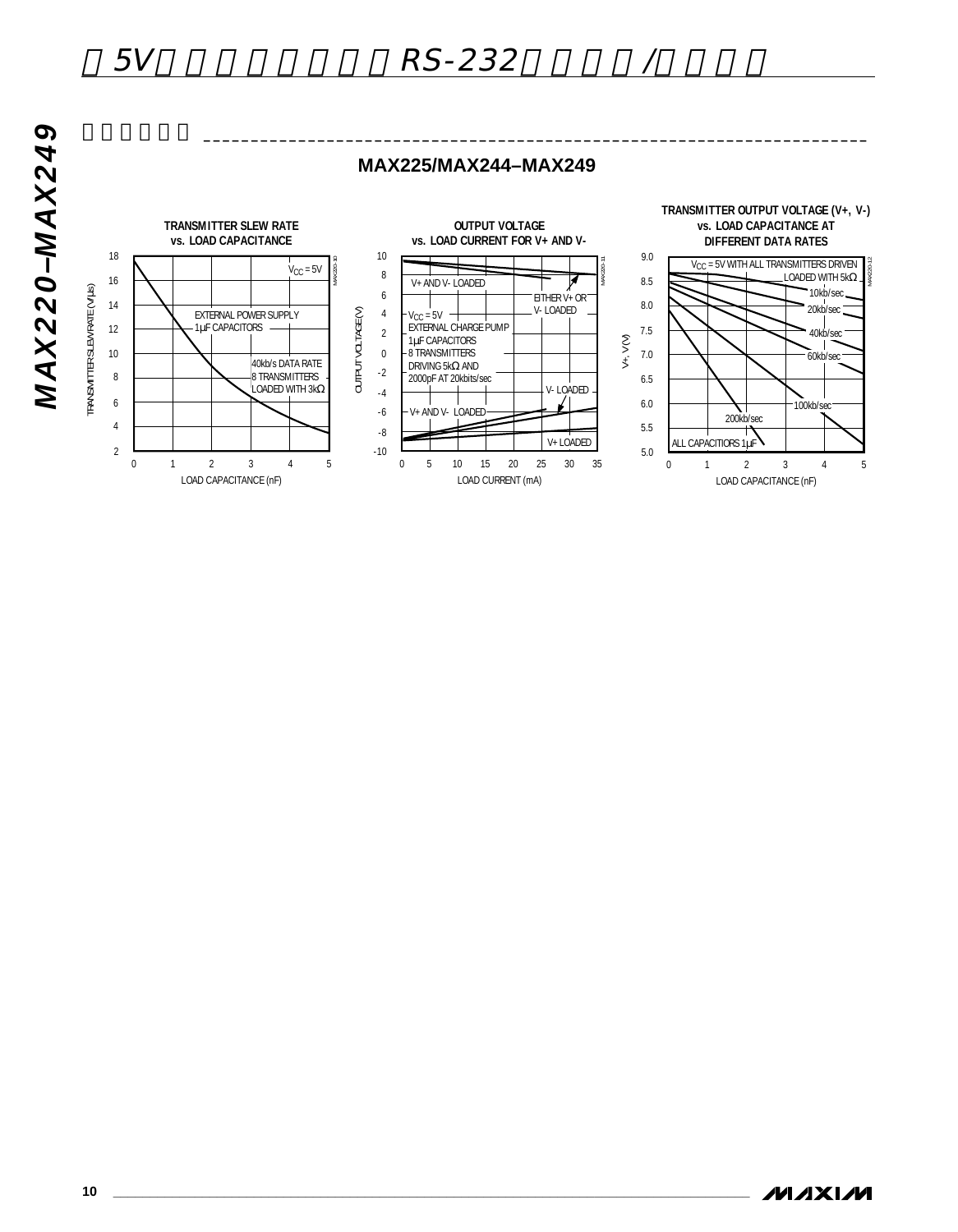

# 5V RS-232

**MAX225/MAX244–MAX249**

 $\overbrace{\hspace{15cm}}$ 

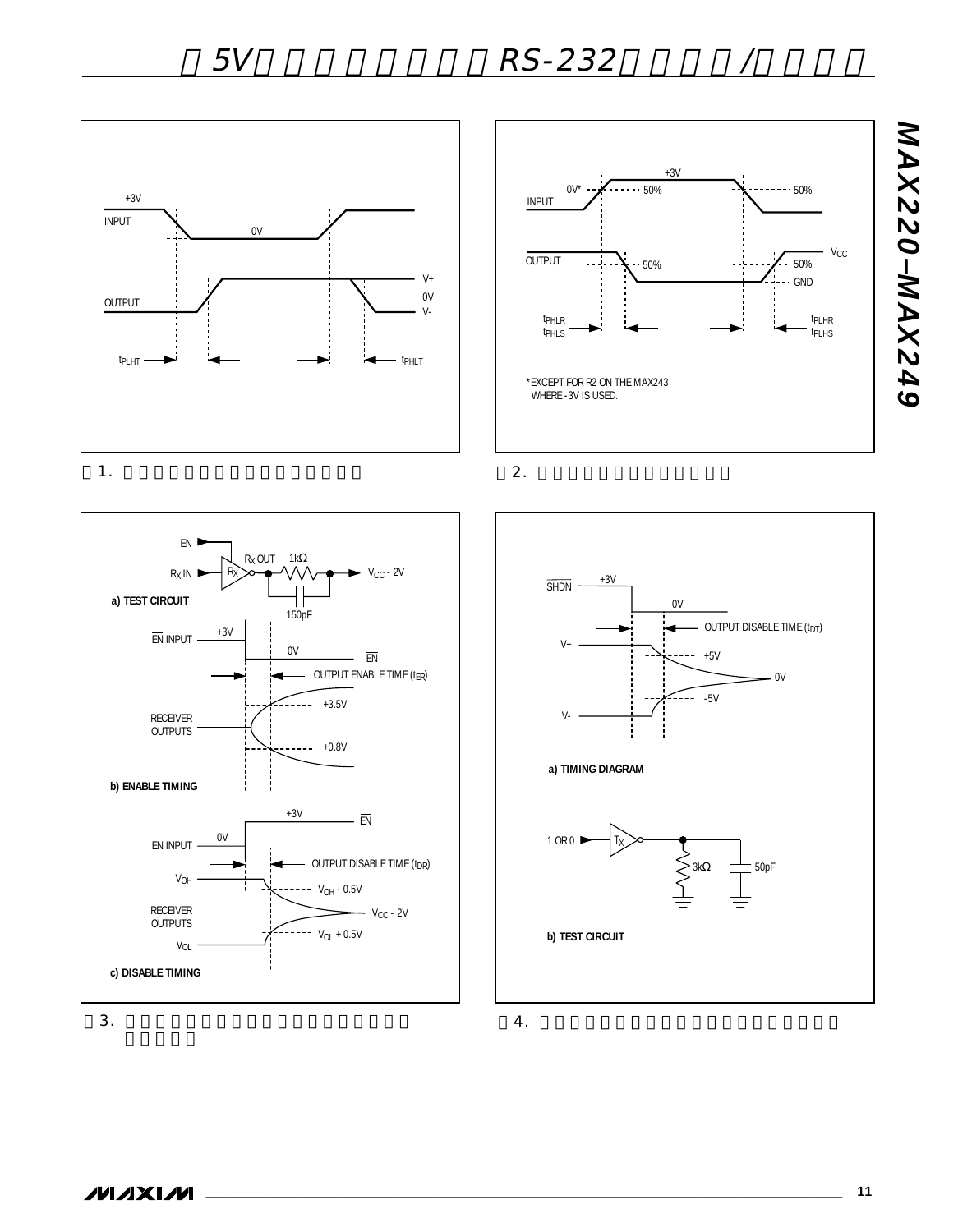

WHERE -3V IS USED.

tPHLR tPHLS

INPUT

OUTPUT







 $4.$ 

*MAX220–MAX249*

MAX220-MAX249

tPLHR tPLHS

 $V_{CC}$ 

50%

GND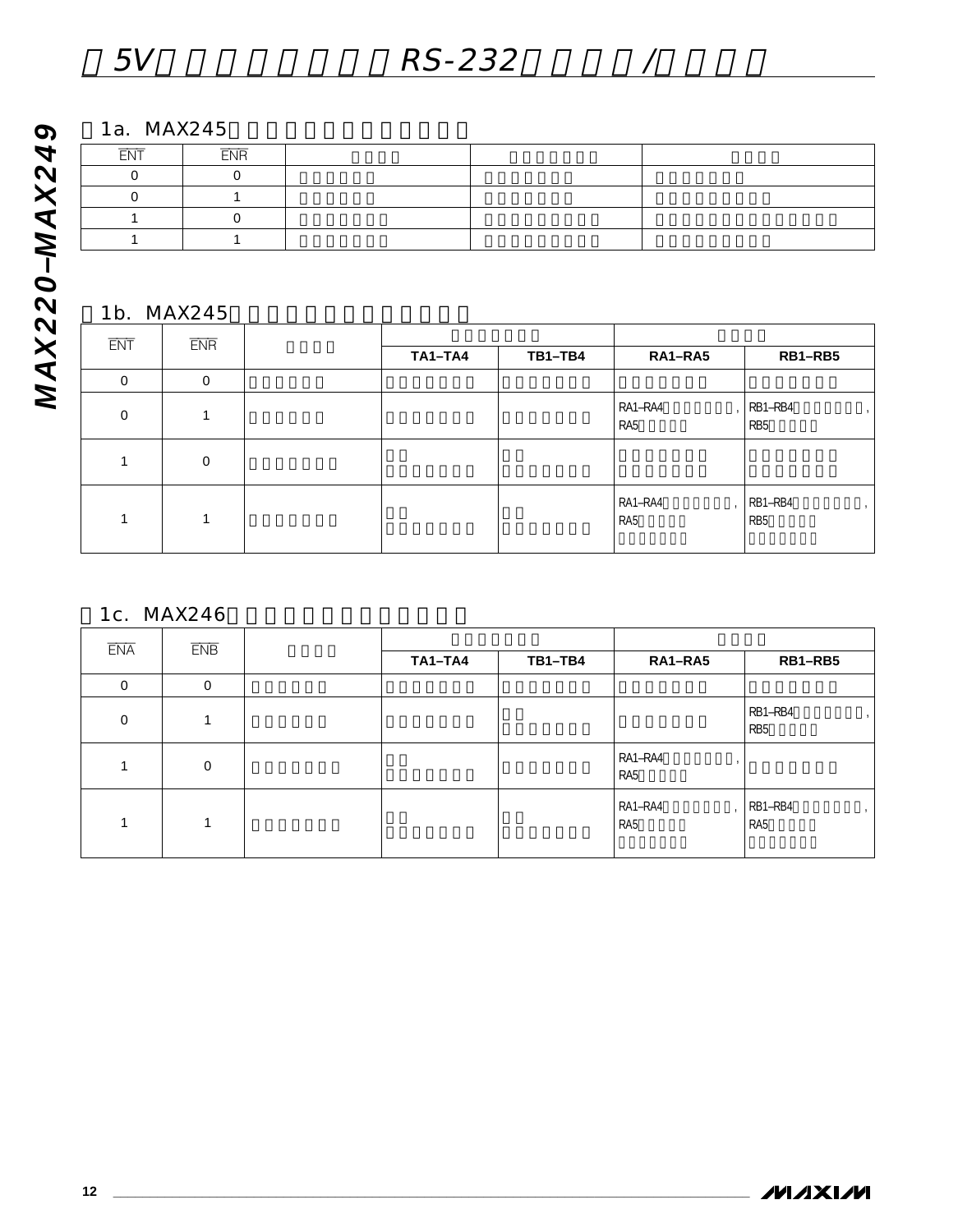1a. MAX245

| ____<br>ᄃᄾᄓ | $ -$<br><b>ENR</b> |  |  |
|-------------|--------------------|--|--|
|             |                    |  |  |
|             |                    |  |  |
|             |                    |  |  |
|             |                    |  |  |

## 1b. MAX245

| <b>ENT</b>   | <b>ENR</b>   |                |         |                |                            |
|--------------|--------------|----------------|---------|----------------|----------------------------|
|              |              | <b>TA1-TA4</b> | TB1-TB4 | RA1-RA5        | RB1-RB5                    |
| 0            | $\mathbf{0}$ |                |         |                |                            |
| $\mathbf{0}$ |              |                |         | RA1-RA4<br>RA5 | RB1-RB4<br>RB <sub>5</sub> |
|              | $\mathbf{0}$ |                |         |                |                            |
|              |              |                |         | RA1-RA4<br>RA5 | RB1-RB4<br>RB <sub>5</sub> |

1c. MAX246

| <b>ENA</b>  | <b>ENB</b>     | <b>TA1-TA4</b> | TB1-TB4 | RA1-RA5        | RB1-RB5                                      |
|-------------|----------------|----------------|---------|----------------|----------------------------------------------|
| $\Omega$    | $\Omega$       |                |         |                |                                              |
| $\mathbf 0$ |                |                |         |                | RB1-RB4<br>RB <sub>5</sub>                   |
|             | $\overline{0}$ |                |         | RA1-RA4<br>RA5 |                                              |
|             |                |                |         | RA1-RA4<br>RA5 | RB1-RB4<br>$\overline{1}$<br>RA <sub>5</sub> |

*MAX220–MAX249*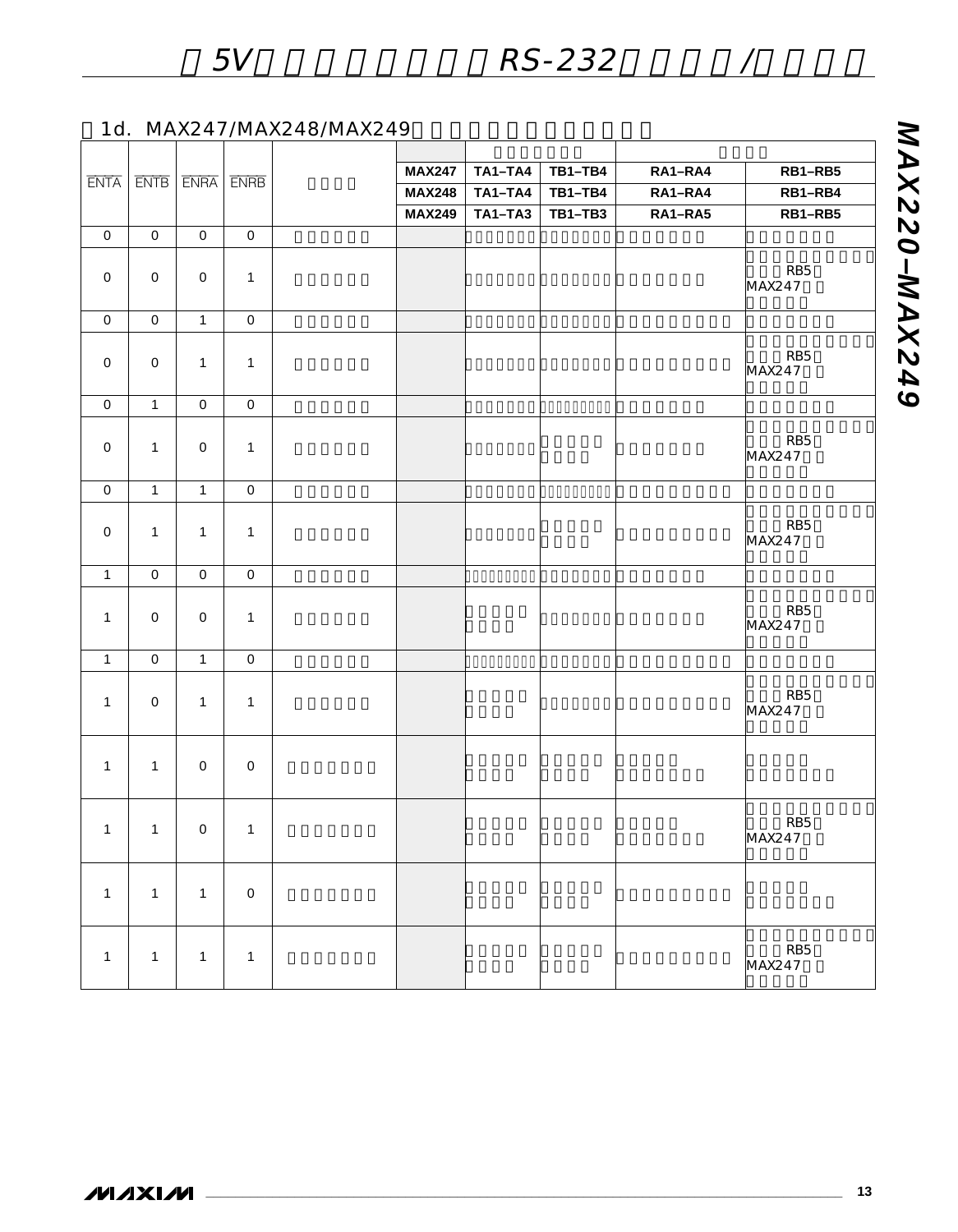## 1d. MAX247/MAX248/MAX249

| <b>ENTA</b>         |                     | $ENTB$ $ENTB$ $ENTB$ |                     | <b>MAX247</b> | <b>TA1-TA4</b> | <b>TB1-TB4</b> | RA1-RA4 | RB1-RB5                   |
|---------------------|---------------------|----------------------|---------------------|---------------|----------------|----------------|---------|---------------------------|
|                     |                     |                      |                     | <b>MAX248</b> | <b>TA1-TA4</b> | $TB1-TB4$      | RA1-RA4 | RB1-RB4                   |
|                     |                     |                      |                     | <b>MAX249</b> | TA1-TA3        | <b>TB1-TB3</b> | RA1-RA5 | RB1-RB5                   |
| $\mathbf 0$         | $\mathsf{O}\xspace$ | $\mathbf 0$          | $\mathsf{O}\xspace$ |               |                |                |         |                           |
| $\mathbf 0$         | $\mathsf{O}\xspace$ | $\mathbf 0$          | 1                   |               |                |                |         | RB <sub>5</sub><br>MAX247 |
| $\mathsf{O}\xspace$ | $\mathsf{O}\xspace$ | $\mathbf{1}$         | $\mathsf{O}\xspace$ |               |                |                |         |                           |
| $\mathbf 0$         | $\mathsf{O}\xspace$ | $\mathbf{1}$         | $\mathbf{1}$        |               |                |                |         | RB <sub>5</sub><br>MAX247 |
| $\mathsf{O}\xspace$ | $\mathbf{1}$        | $\mathbf 0$          | $\mathsf{O}\xspace$ |               |                |                |         |                           |
| $\mathsf{O}\xspace$ | $\mathbf{1}$        | $\mathbf 0$          | $\mathbf{1}$        |               |                |                |         | RB <sub>5</sub><br>MAX247 |
| $\mathsf O$         | $\overline{1}$      | $\overline{1}$       | $\mathsf{O}\xspace$ |               |                |                |         |                           |
| $\mathsf{O}\xspace$ | $\mathbf{1}$        | $\mathbf{1}$         | $\mathbf{1}$        |               |                |                |         | RB <sub>5</sub><br>MAX247 |
| $\mathbf{1}$        | $\overline{0}$      | $\mathsf{O}\xspace$  | $\mathsf{O}\xspace$ |               |                |                |         |                           |
| $\mathbf{1}$        | $\overline{0}$      | $\mathsf{O}\xspace$  | 1                   |               |                |                |         | RB <sub>5</sub><br>MAX247 |
| $\mathbf{1}$        | $\mathsf{O}\xspace$ | $\mathbf{1}$         | $\mathbf 0$         |               |                |                |         |                           |
| $\mathbf{1}$        | $\mathsf{O}\xspace$ | $\mathbf{1}$         | $\mathbf{1}$        |               |                |                |         | RB5<br>MAX247             |
| $\mathbf{1}$        | 1                   | $\mathbf 0$          | $\mathsf{O}\xspace$ |               |                |                |         |                           |
| $\mathbf{1}$        | $\mathbf{1}$        | $\mathsf{O}\xspace$  | $\mathbf{1}$        |               |                |                |         | RB <sub>5</sub><br>MAX247 |
| $\mathbf{1}$        | $\mathbbm{1}$       | $\mathbf{1}$         | $\,0\,$             |               |                |                |         |                           |
| $\mathbf{1}$        | $\mathbf{1}$        | $\mathbf{1}$         | 1                   |               |                |                |         | RB5<br>MAX247             |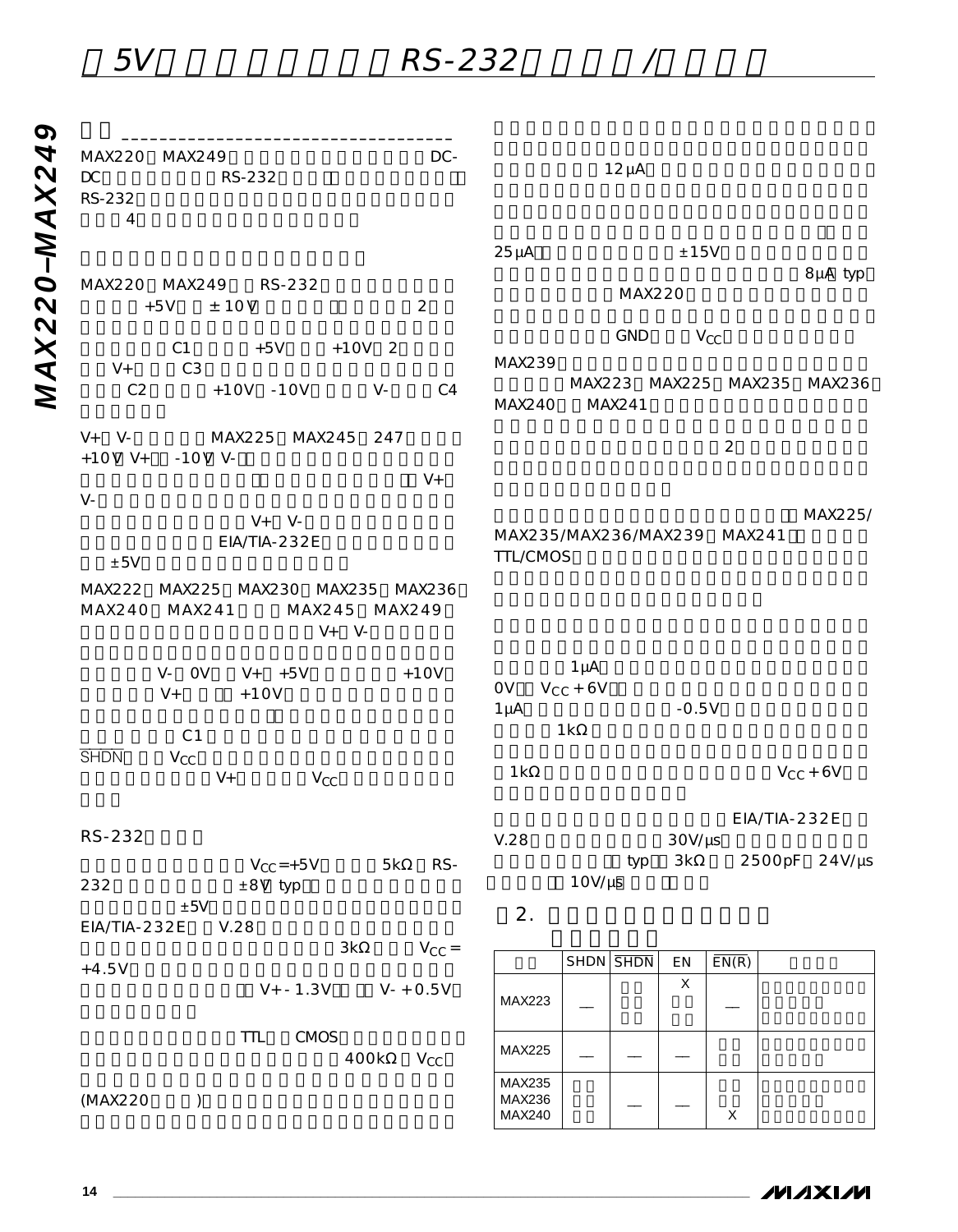5V RS-232 /

| MAX220 MAX249<br>$\mathsf{DC}$<br>RS-232<br>$\overline{4}$ | RS-232                                                  | DC-                     |                                         |                                  | $12 \mu A$               |                            |                           |              |                             |
|------------------------------------------------------------|---------------------------------------------------------|-------------------------|-----------------------------------------|----------------------------------|--------------------------|----------------------------|---------------------------|--------------|-----------------------------|
|                                                            |                                                         |                         | $25 \mu A$                              |                                  |                          | $\pm 15V$                  |                           |              |                             |
| MAX220 MAX249<br>$+5V$                                     | RS-232<br>± 10V                                         | $\overline{2}$          |                                         |                                  | <b>MAX220</b>            |                            |                           |              | 8µA typ                     |
| $V +$                                                      | C1<br>$+5V$<br>C <sub>3</sub>                           | $+10V$ 2                | MAX239                                  |                                  | GND                      |                            | $V_{CC}$                  |              |                             |
| C <sub>2</sub>                                             | $+10V -10V$                                             | $V -$<br>C <sub>4</sub> | <b>MAX240</b>                           |                                  | MAX241                   |                            |                           |              | MAX223 MAX225 MAX235 MAX236 |
| $V+ V-$<br>$+10V$ V+                                       | MAX225 MAX245 247<br>$-10V$ V-                          |                         |                                         |                                  |                          |                            | $\overline{2}$            |              |                             |
| $V -$                                                      |                                                         | $V +$                   |                                         |                                  |                          |                            |                           |              |                             |
| ±5V                                                        | $V+ V-$<br>EIA/TIA-232E                                 |                         | MAX235/MAX236/MAX239 MAX241<br>TTL/CMOS |                                  |                          |                            |                           |              | MAX225/                     |
| MAX240                                                     | MAX222 MAX225 MAX230 MAX235 MAX236<br>MAX241<br>$V+ V-$ | MAX245 MAX249           |                                         |                                  |                          |                            |                           |              |                             |
| $V +$                                                      | V- OV<br>$V+$ +5V<br>$+10V$<br>C <sub>1</sub>           | $+10V$                  | OV<br>$1 \mu A$                         | $1 \mu A$<br>$V_{CC}$ + 6V<br>1k |                          | $-0.5V$                    |                           |              |                             |
| <b>SHDN</b>                                                | $V_{CC}$<br>$V +$<br>$V_{CC}$                           |                         | 1k                                      |                                  |                          |                            |                           |              | $V_{CC}$ + 6V               |
| RS-232                                                     |                                                         |                         | V.28                                    |                                  |                          | $30V/\mu s$                |                           | EIA/TIA-232E |                             |
| 232                                                        | $V_{CC}$ =+5V<br>±8V typ                                | RS-<br>5k               |                                         | $10V/\mu s$                      | typ                      | 3k                         |                           |              | 2500pF 24V/µs               |
| EIA/TIA-232E                                               | $\pm 5V$<br>V.28                                        |                         | 2.                                      |                                  |                          |                            |                           |              |                             |
| $+4.5V$                                                    |                                                         | 3k<br>$V_{CC} =$        |                                         |                                  | $SHDN$ $\overline{SHDN}$ | $\mathop{\rm EN}\nolimits$ | $\overline{\text{EN}(R)}$ |              |                             |
|                                                            | $V + - 1.3V$                                            | $V - + 0.5V$            | MAX223                                  |                                  |                          | $\mathsf X$                |                           |              |                             |
|                                                            | <b>CMOS</b><br><b>TTL</b>                               | 400k<br>$V_{\rm CC}$    | MAX225                                  |                                  |                          |                            |                           |              |                             |
| (MAX220                                                    | $\mathcal{C}$                                           |                         | MAX235<br>MAX236                        |                                  |                          |                            |                           |              |                             |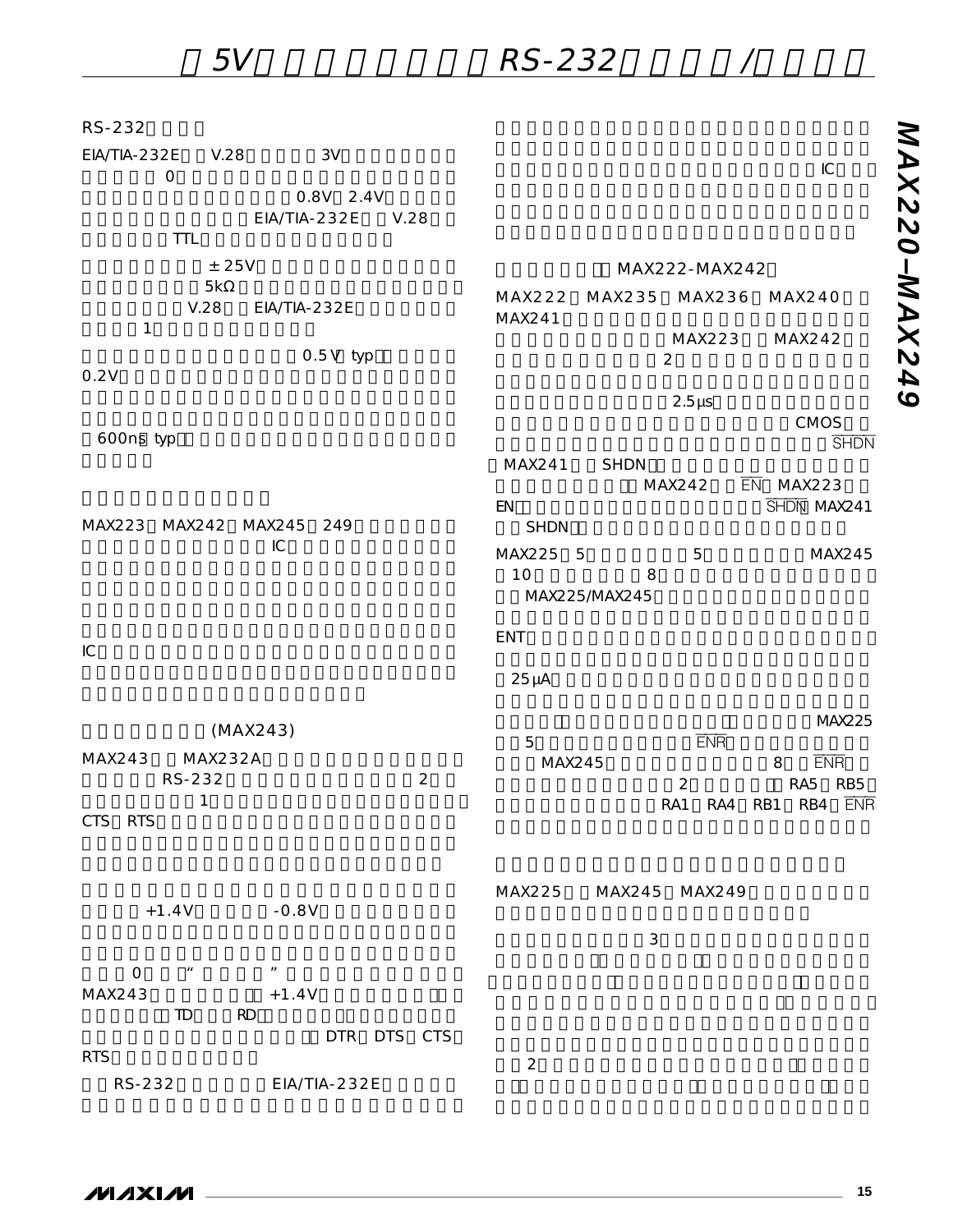5V RS-232 /

| RS-232                                                       |                                                                       |
|--------------------------------------------------------------|-----------------------------------------------------------------------|
| EIA/TIA-232E<br>3V<br>V.28<br>$\mathsf O$                    | IC                                                                    |
| 0.8V 2.4V<br>EIA/TIA-232E<br>V.28<br><b>TTL</b>              |                                                                       |
| ± 25V                                                        | MAX222-MAX242                                                         |
| 5k                                                           |                                                                       |
| V.28<br>EIA/TIA-232E                                         | MAX235<br>MAX236<br>MAX222<br><b>MAX240</b><br>MAX241                 |
| $\mathbf{1}$                                                 | MAX223<br>MAX242                                                      |
| $0.5V$ typ                                                   | $\overline{2}$                                                        |
| 0.2V                                                         |                                                                       |
|                                                              | $2.5 \mu s$<br>CMOS                                                   |
| 600ns typ                                                    | <b>SHDN</b>                                                           |
|                                                              | <b>SHDN</b><br>MAX241                                                 |
|                                                              | MAX242<br>$\overline{EN}$ MAX223<br>SHDN MAX241<br>EN                 |
| MAX223 MAX242<br><b>MAX245</b><br>249                        | <b>SHDN</b>                                                           |
| ${\sf IC}$                                                   | MAX225 5<br>MAX245<br>5                                               |
|                                                              | 10<br>8                                                               |
|                                                              | MAX225/MAX245                                                         |
|                                                              | ENT                                                                   |
| IC                                                           |                                                                       |
|                                                              | $25 \mu A$                                                            |
|                                                              | <b>MAX225</b>                                                         |
| (MAX243)                                                     | <b>ENR</b><br>5                                                       |
| MAX232A<br>MAX243<br>$\overline{2}$<br>RS-232                | <b>ENR</b><br>MAX245<br>8                                             |
| $\mathbf{1}$                                                 | RA5<br>$\mathbf 2$<br>RB <sub>5</sub><br>RA1<br>RA4<br>RB1<br>RB4 ENR |
| <b>CTS</b><br><b>RTS</b>                                     |                                                                       |
|                                                              |                                                                       |
|                                                              |                                                                       |
| $-0.8V$<br>$+1.4V$                                           | MAX245 MAX249<br>MAX225                                               |
|                                                              | 3                                                                     |
|                                                              |                                                                       |
| $\boldsymbol{H}$<br>$\mathsf{O}$<br>$\overline{\phantom{a}}$ |                                                                       |
| MAX243<br>$+1.4V$<br><b>RD</b><br>TD                         |                                                                       |
| DTR DTS CTS                                                  |                                                                       |
| <b>RTS</b>                                                   | $\mathbf 2$                                                           |
| EIA/TIA-232E<br>RS-232                                       |                                                                       |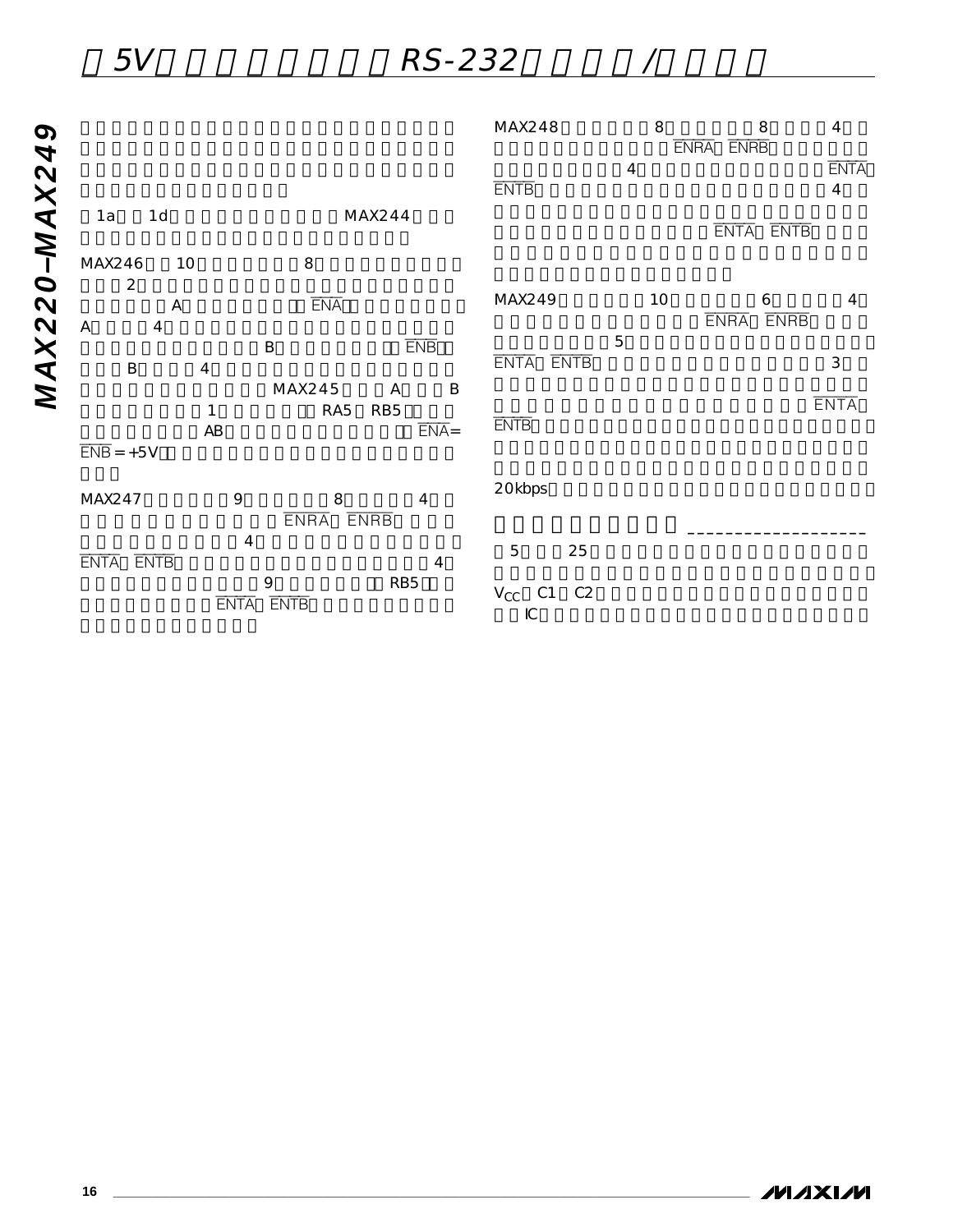|              |                                                                                    |                                                             | MAX248                                                | 8  | 8<br>ENRA ENRB                  | $\overline{\mathbf{4}}$       |
|--------------|------------------------------------------------------------------------------------|-------------------------------------------------------------|-------------------------------------------------------|----|---------------------------------|-------------------------------|
| <b>MAX24</b> |                                                                                    |                                                             | <b>ENTB</b>                                           | 4  |                                 | <b>ENTA</b><br>$\overline{4}$ |
|              | 1d<br>1a                                                                           | MAX244                                                      |                                                       |    | ENTA ENTB                       |                               |
|              | MAX246<br>10<br>$\overline{2}$                                                     | 8                                                           |                                                       |    |                                 |                               |
|              | $\boldsymbol{\mathsf{A}}$                                                          | <b>ENA</b>                                                  | MAX249                                                | 10 | 6<br><b>ENRB</b><br><b>ENRA</b> | $\overline{4}$                |
| MAX220-      | $\boldsymbol{\mathsf{A}}$<br>$\overline{4}$<br>$\sf B$<br>$\overline{\mathcal{A}}$ | <b>ENB</b><br>B                                             | 5<br>ENTA ENTB                                        |    |                                 | $\mathsf 3$                   |
|              | 1<br>$\overline{ENB}$ = +5V                                                        | MAX245<br>B<br>A<br>RA5<br>RB <sub>5</sub><br>$ENA =$<br>AB | <b>ENTB</b>                                           |    |                                 | <b>ENTA</b>                   |
|              | MAX247                                                                             | 9<br>8<br>4<br><b>ENRA</b><br><b>ENRB</b>                   | 20kbps                                                |    |                                 |                               |
|              | ENTA ENTB                                                                          | $\overline{\mathbf{4}}$<br>4                                | 5<br>25                                               |    |                                 |                               |
|              |                                                                                    | 9<br>RB5<br><b>ENTA</b><br><b>ENTB</b>                      | $V_{\rm CC}$<br>C1<br>C <sub>2</sub><br>$\mathsf{IC}$ |    |                                 |                               |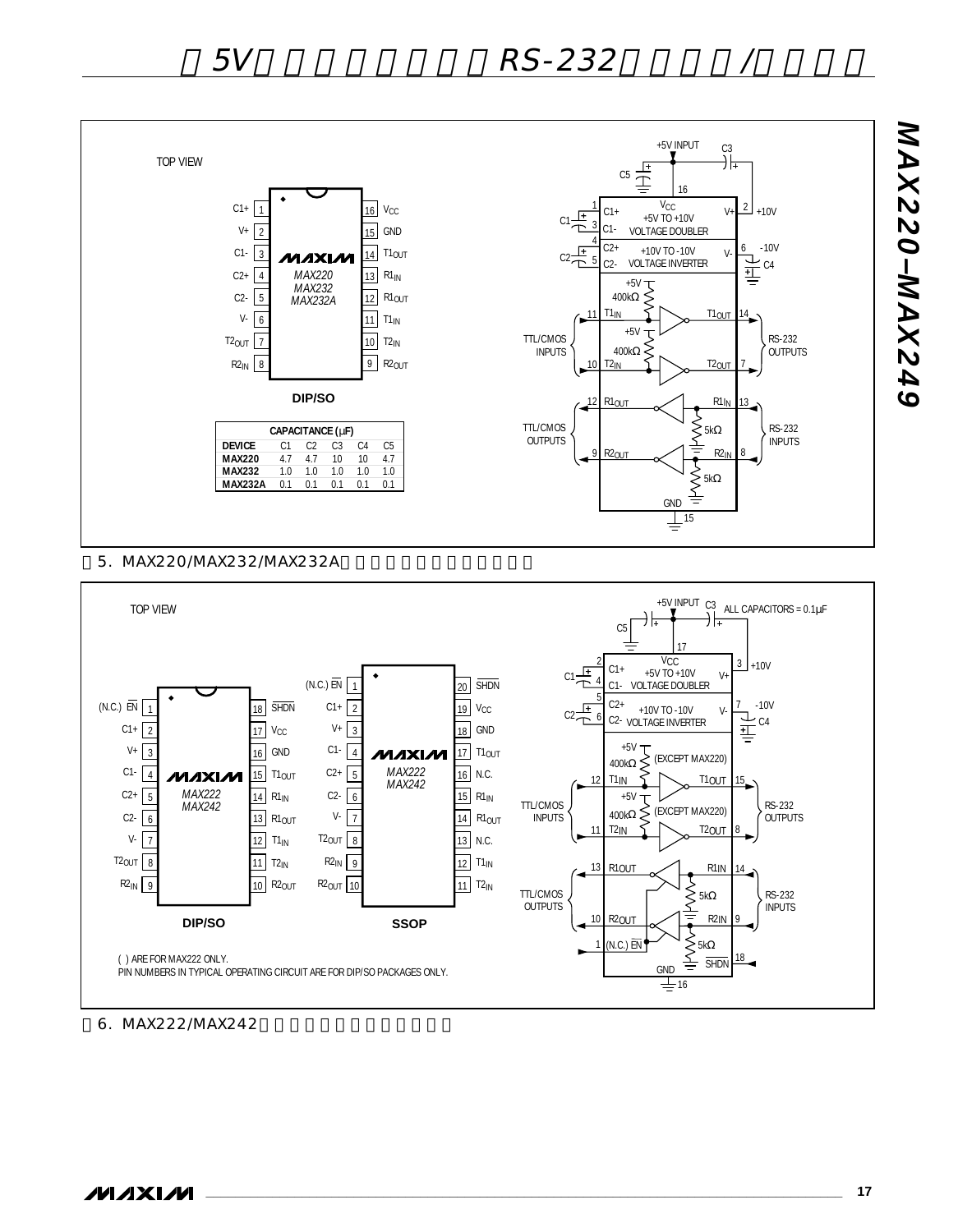

#### 5. MAX220/MAX232/MAX232A



#### 6. MAX222/MAX242

*MAX220–MAX249*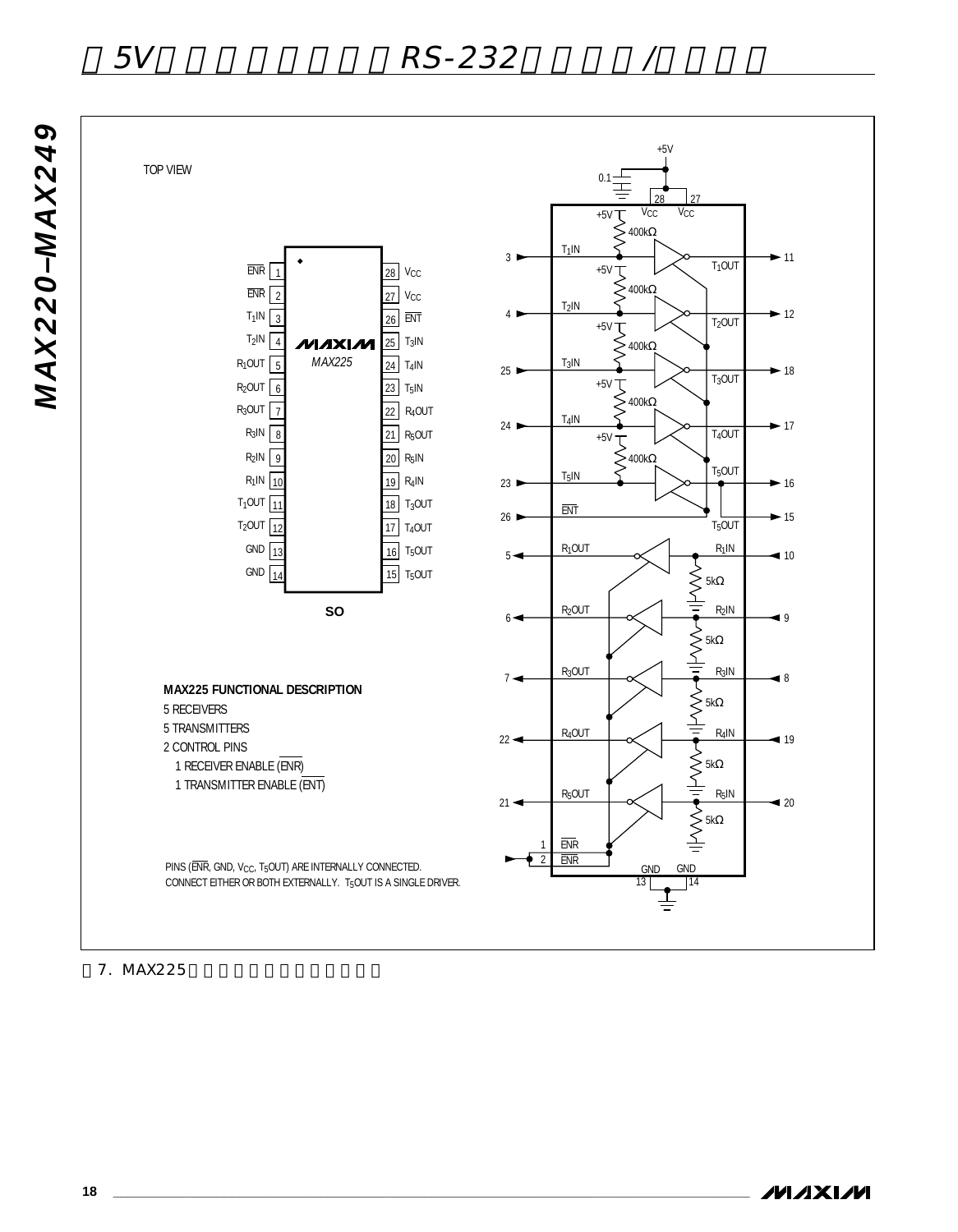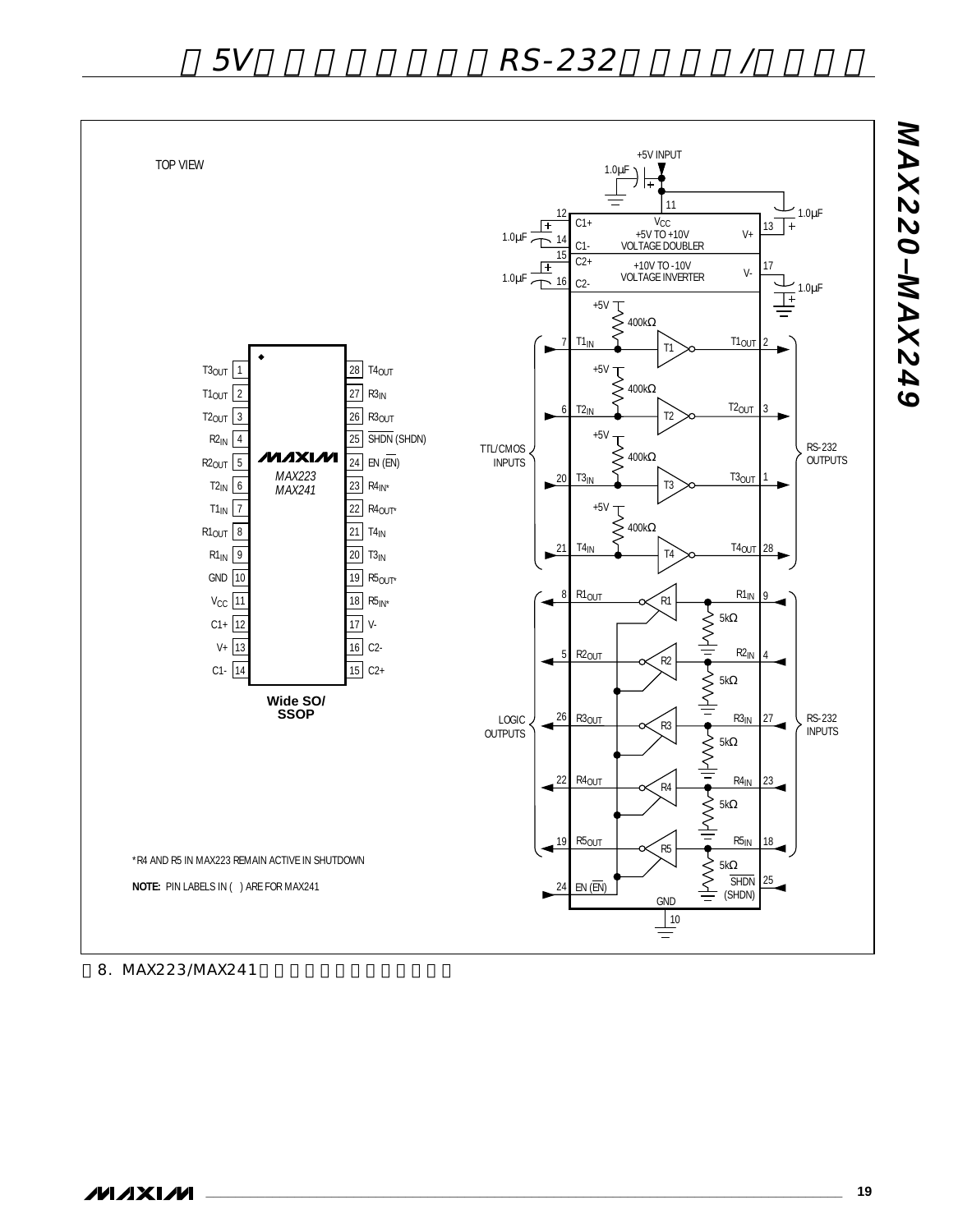

8. MAX223/MAX241

**NAIXIVI** 

**\_\_\_\_\_\_\_\_\_\_\_\_\_\_\_\_\_\_\_\_\_\_\_\_\_\_\_\_\_\_\_\_\_\_\_\_\_\_\_\_\_\_\_\_\_\_\_\_\_\_\_\_\_\_\_\_\_\_\_\_\_\_\_\_\_\_\_\_\_\_\_\_\_\_\_\_\_\_\_\_\_\_\_\_\_\_ 19**

*MAX220–MAX249*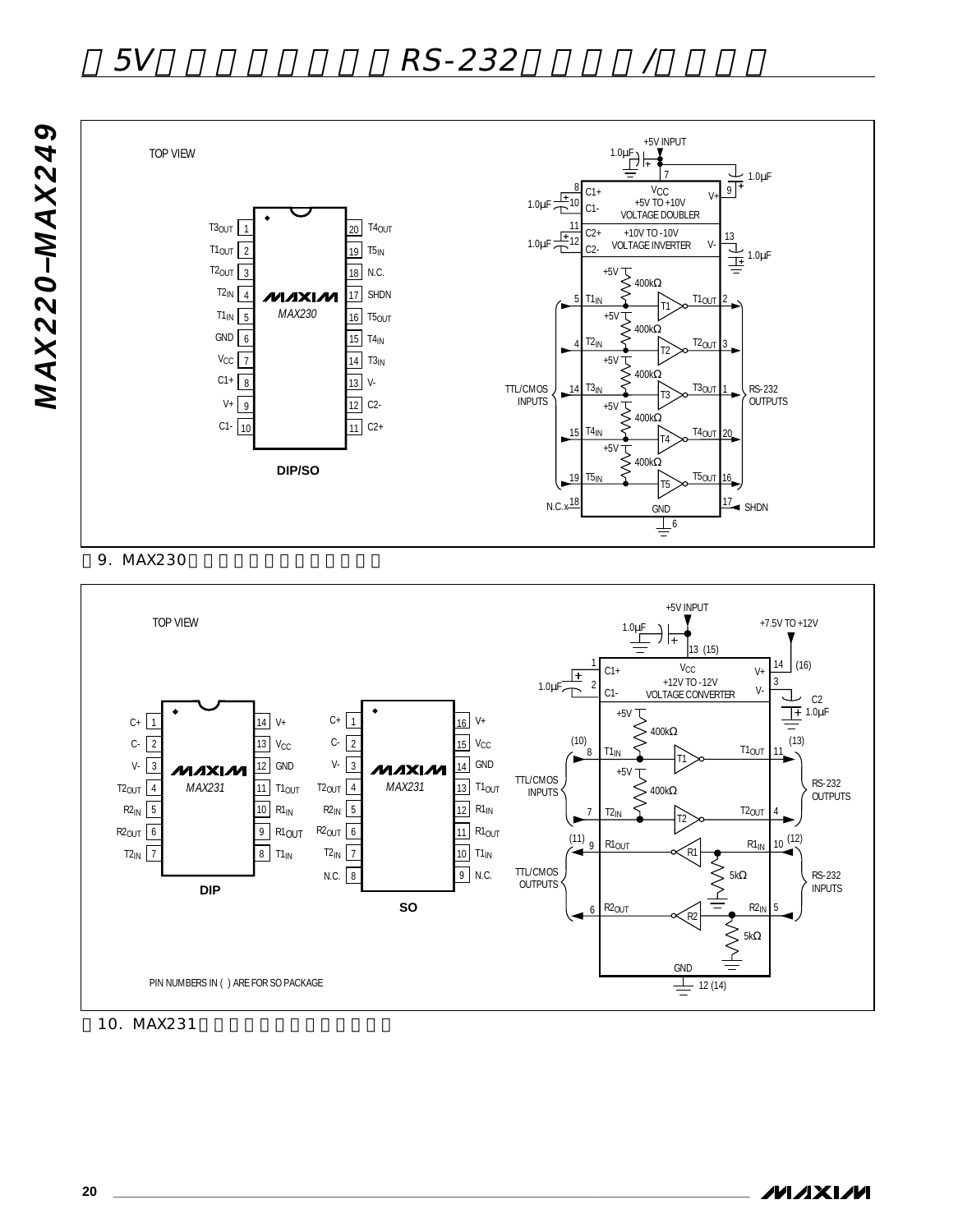

9. MAX230



10. MAX231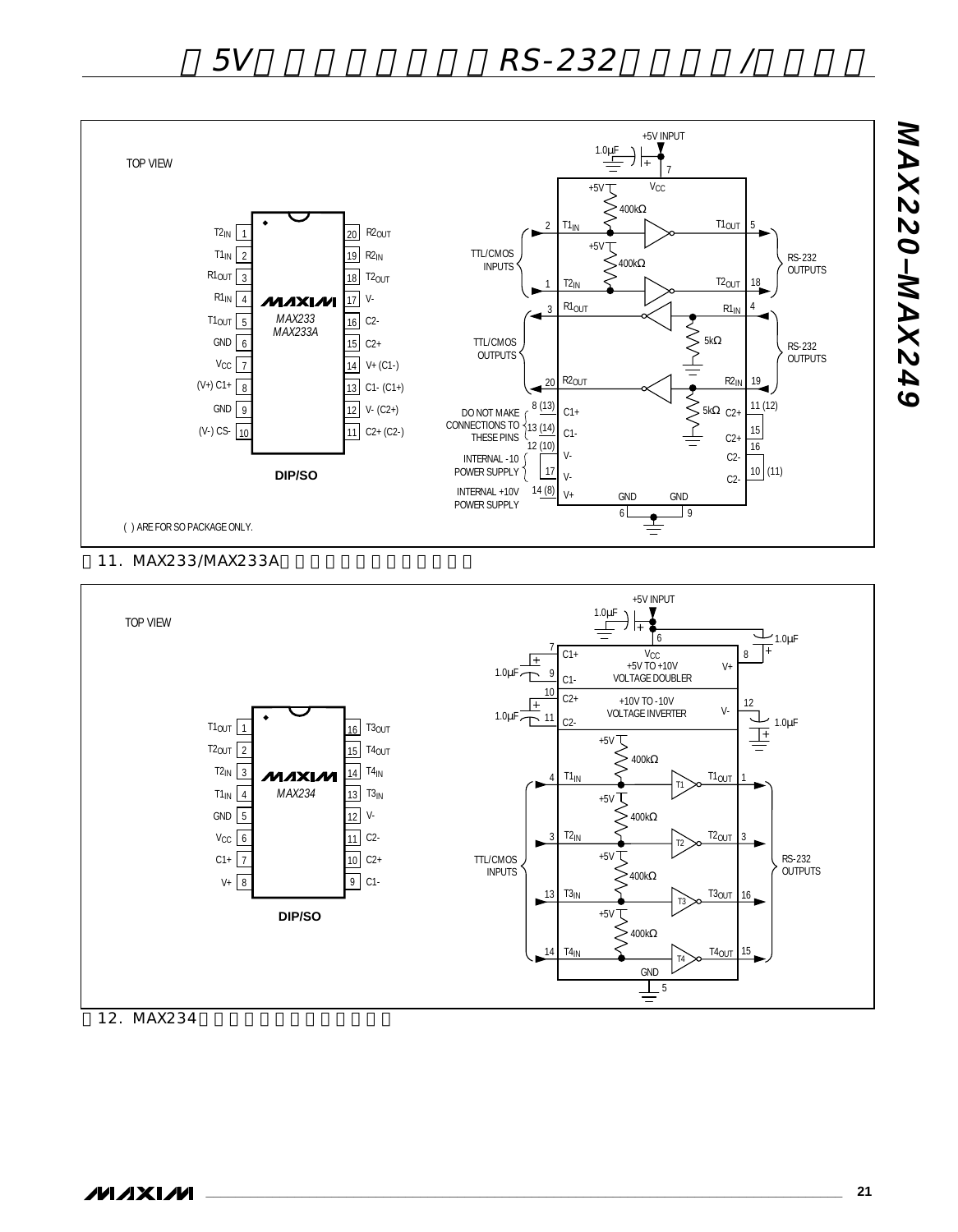

#### 11. MAX233/MAX233A



*MAX220–MAX249*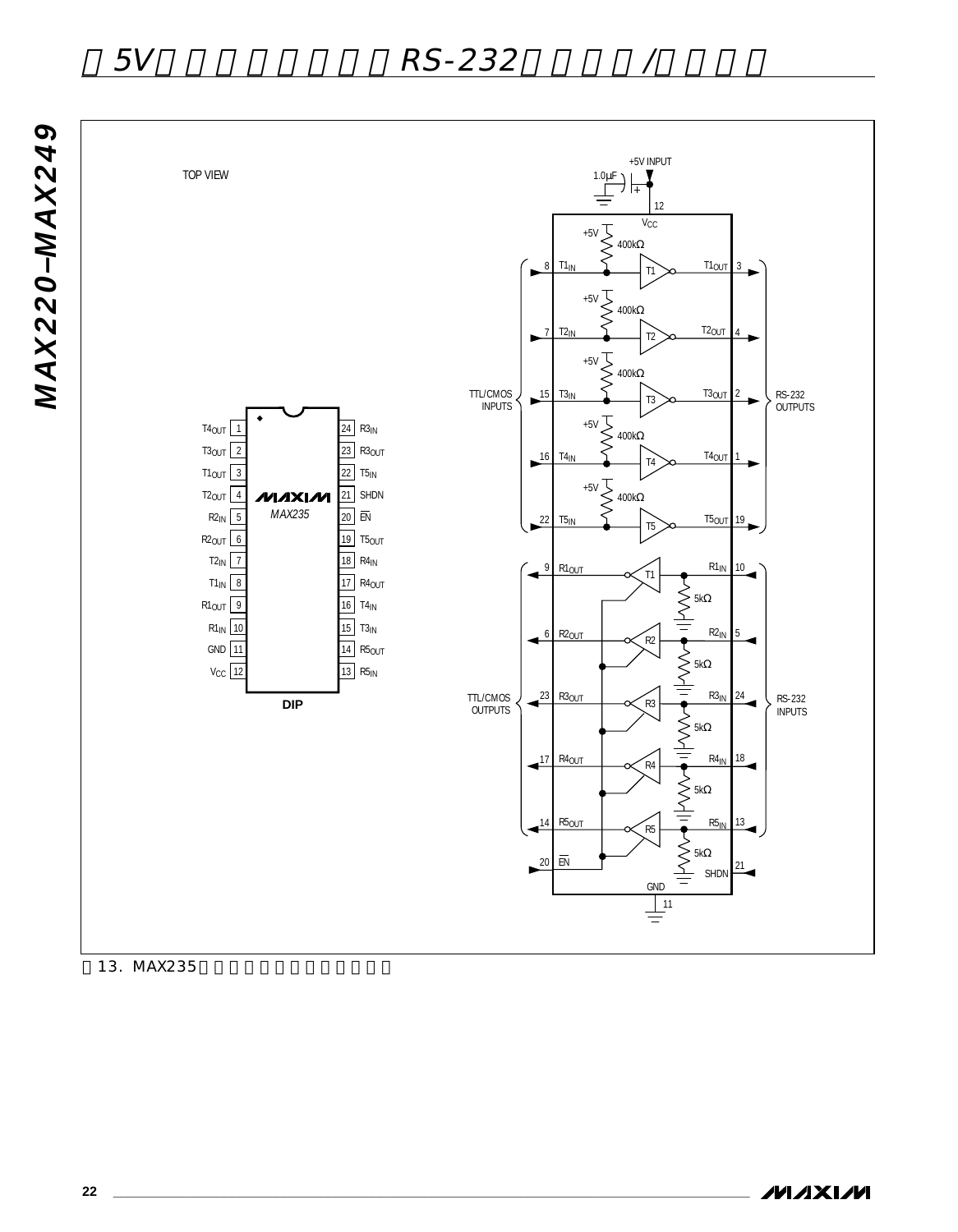



13. MAX235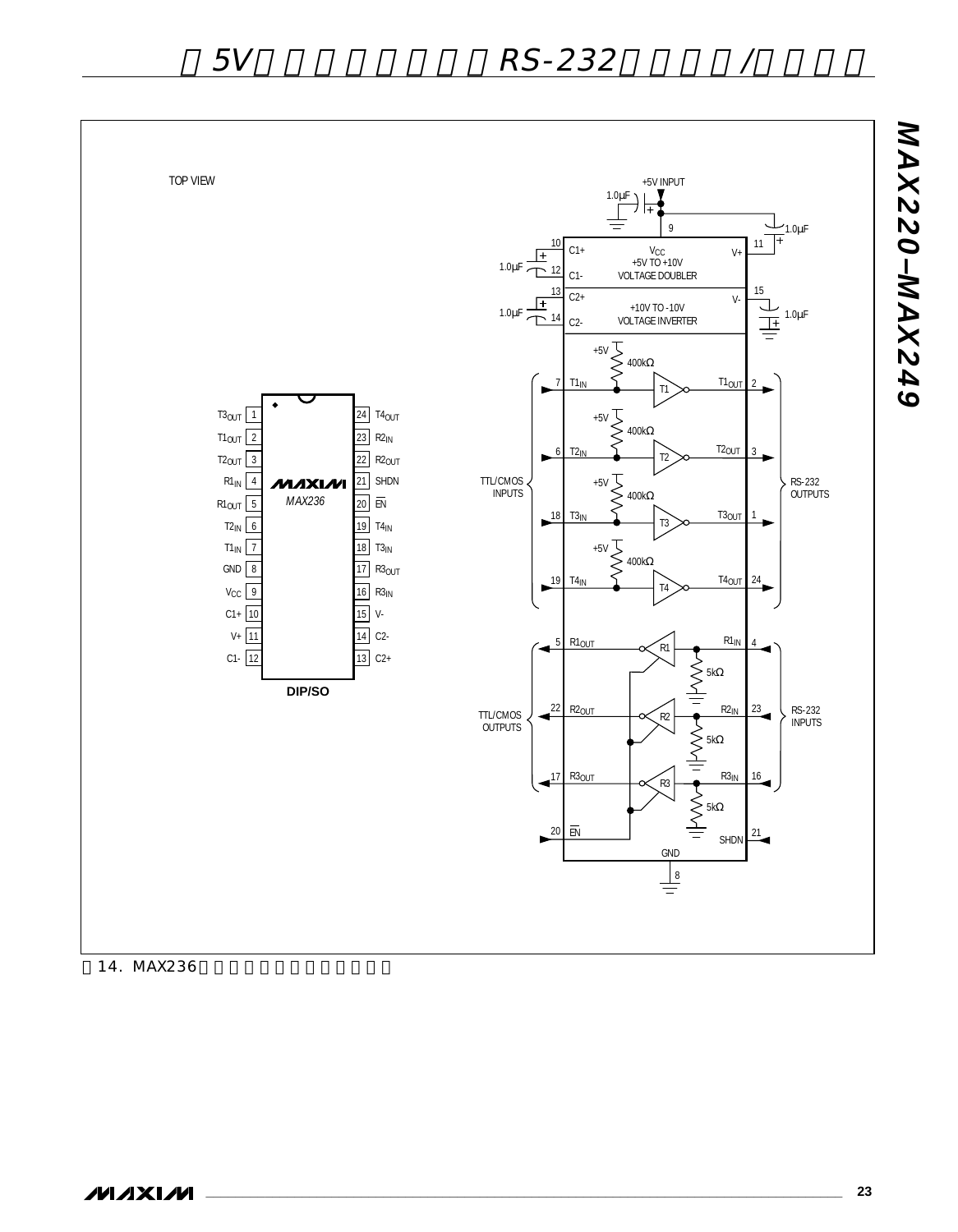

14. MAX236

**MAXIM** 

*MAX220–MAX249*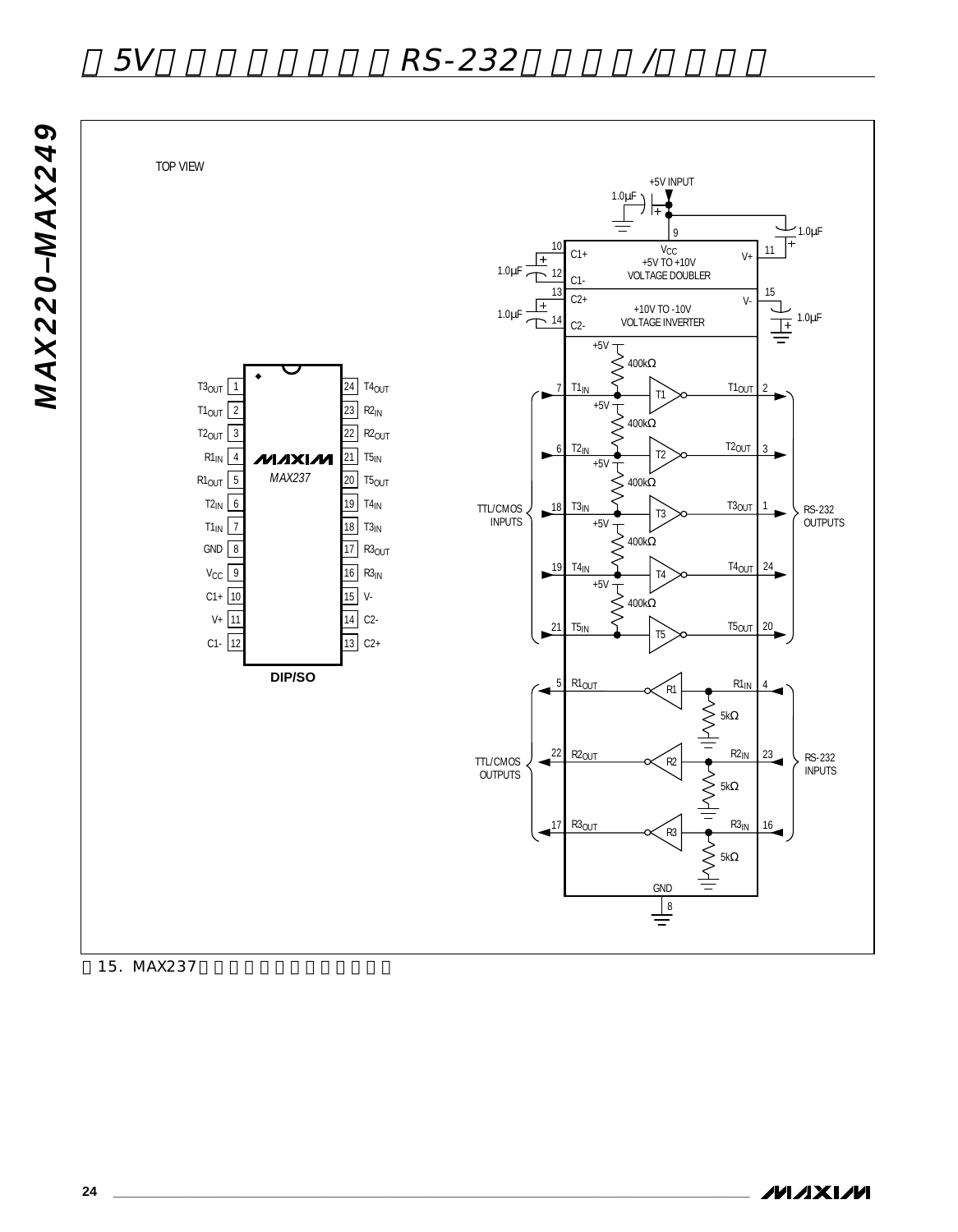*MAX220–MAX249*



15. MAX237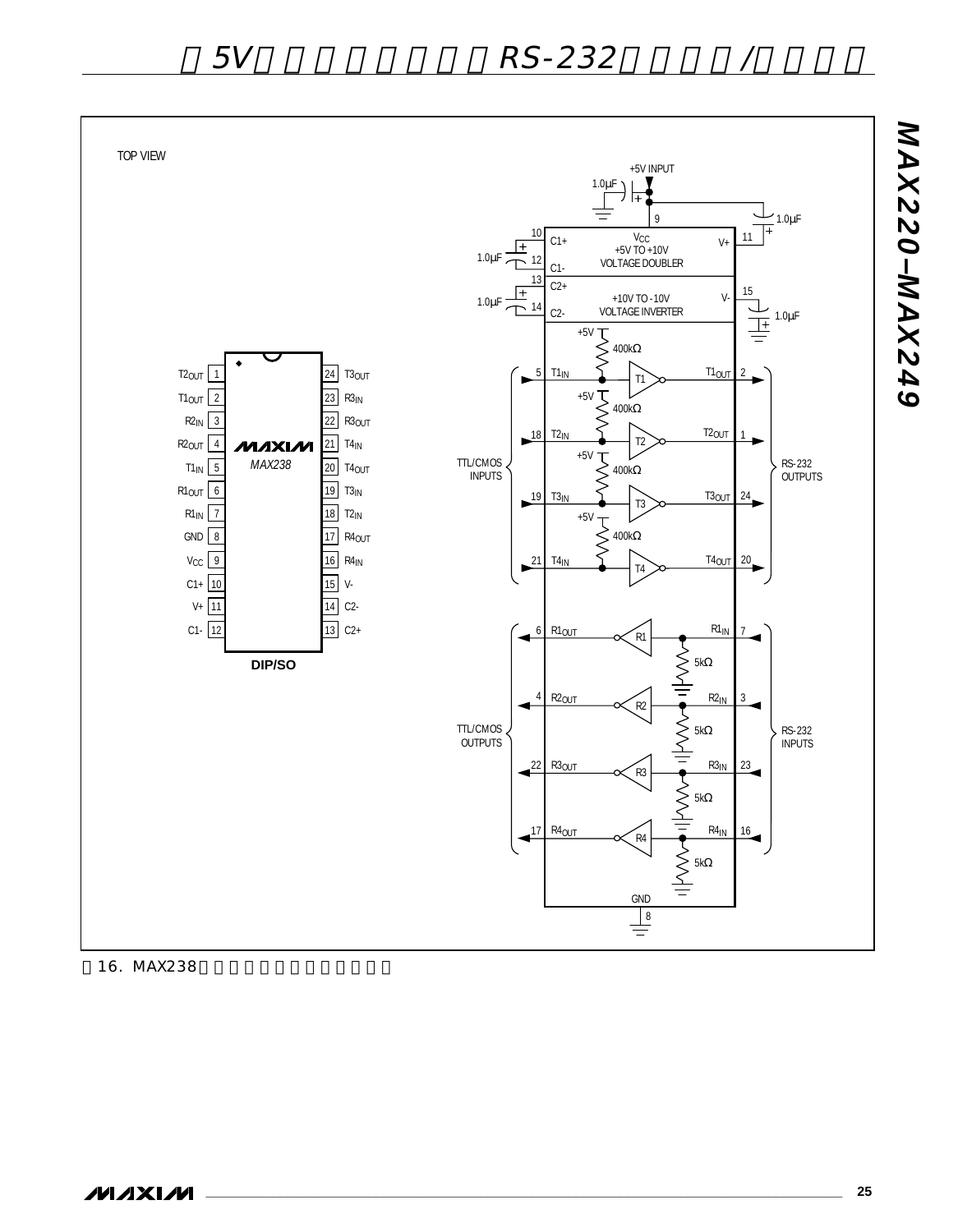

16. MAX238

**\_\_\_\_\_\_\_\_\_\_\_\_\_\_\_\_\_\_\_\_\_\_\_\_\_\_\_\_\_\_\_\_\_\_\_\_\_\_\_\_\_\_\_\_\_\_\_\_\_\_\_\_\_\_\_\_\_\_\_\_\_\_\_\_\_\_\_\_\_\_\_\_\_\_\_\_\_\_\_\_\_\_\_\_\_\_ 25**

*MAX220–MAX249*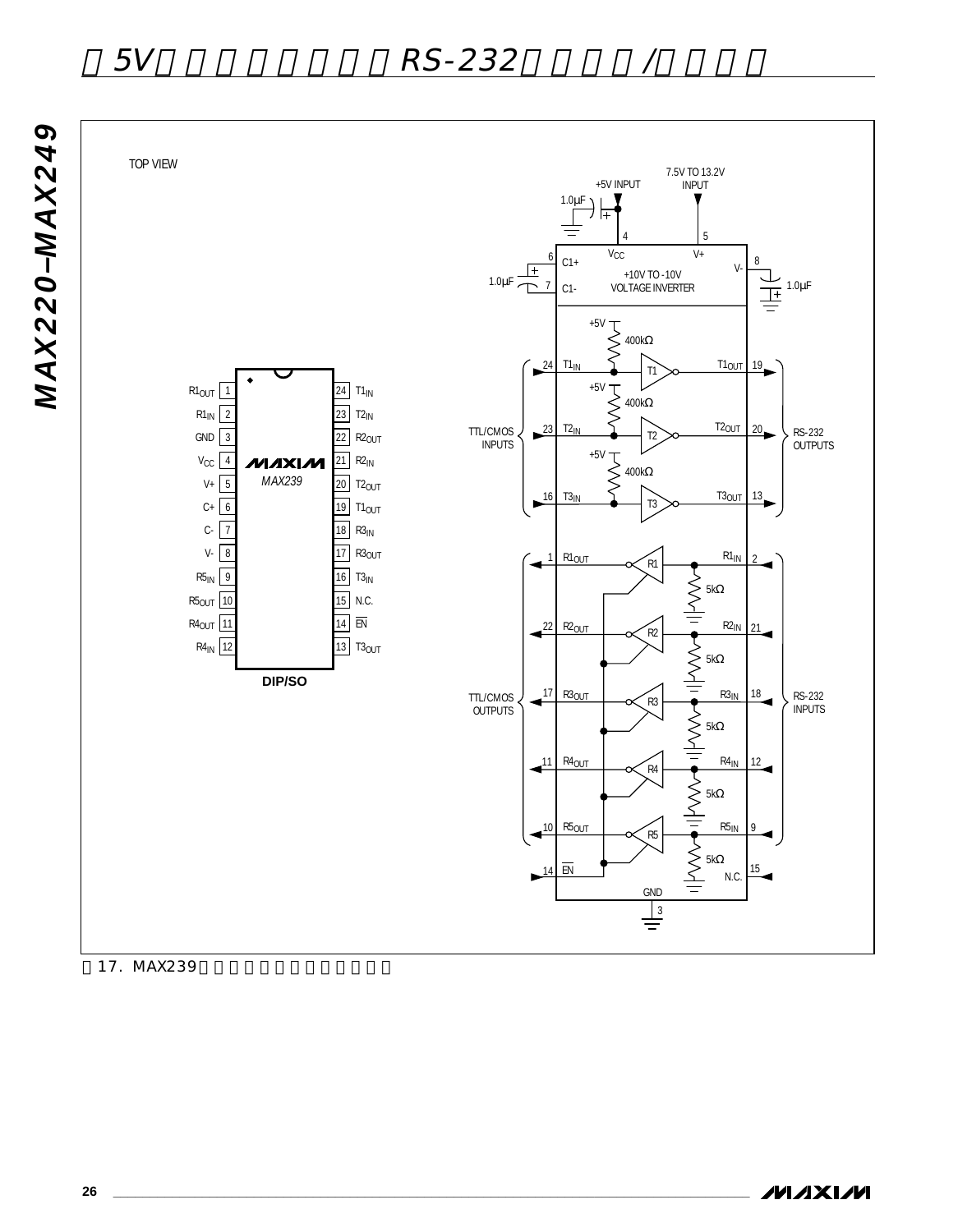*MAX220–MAX249*



17. MAX239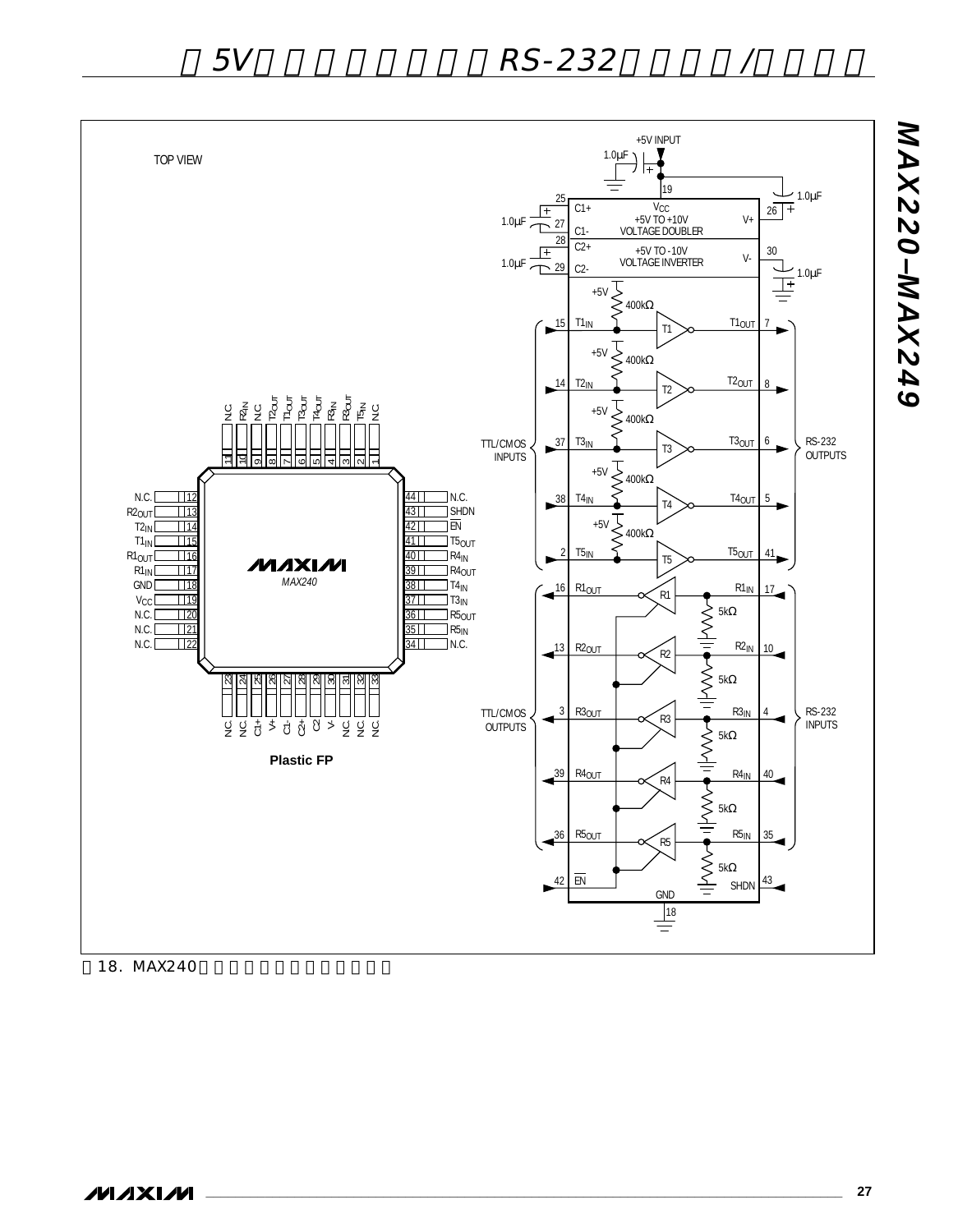

18. MAX240

**\_\_\_\_\_\_\_\_\_\_\_\_\_\_\_\_\_\_\_\_\_\_\_\_\_\_\_\_\_\_\_\_\_\_\_\_\_\_\_\_\_\_\_\_\_\_\_\_\_\_\_\_\_\_\_\_\_\_\_\_\_\_\_\_\_\_\_\_\_\_\_\_\_\_\_\_\_\_\_\_\_\_\_\_\_\_ 27**

*MAX220–MAX249*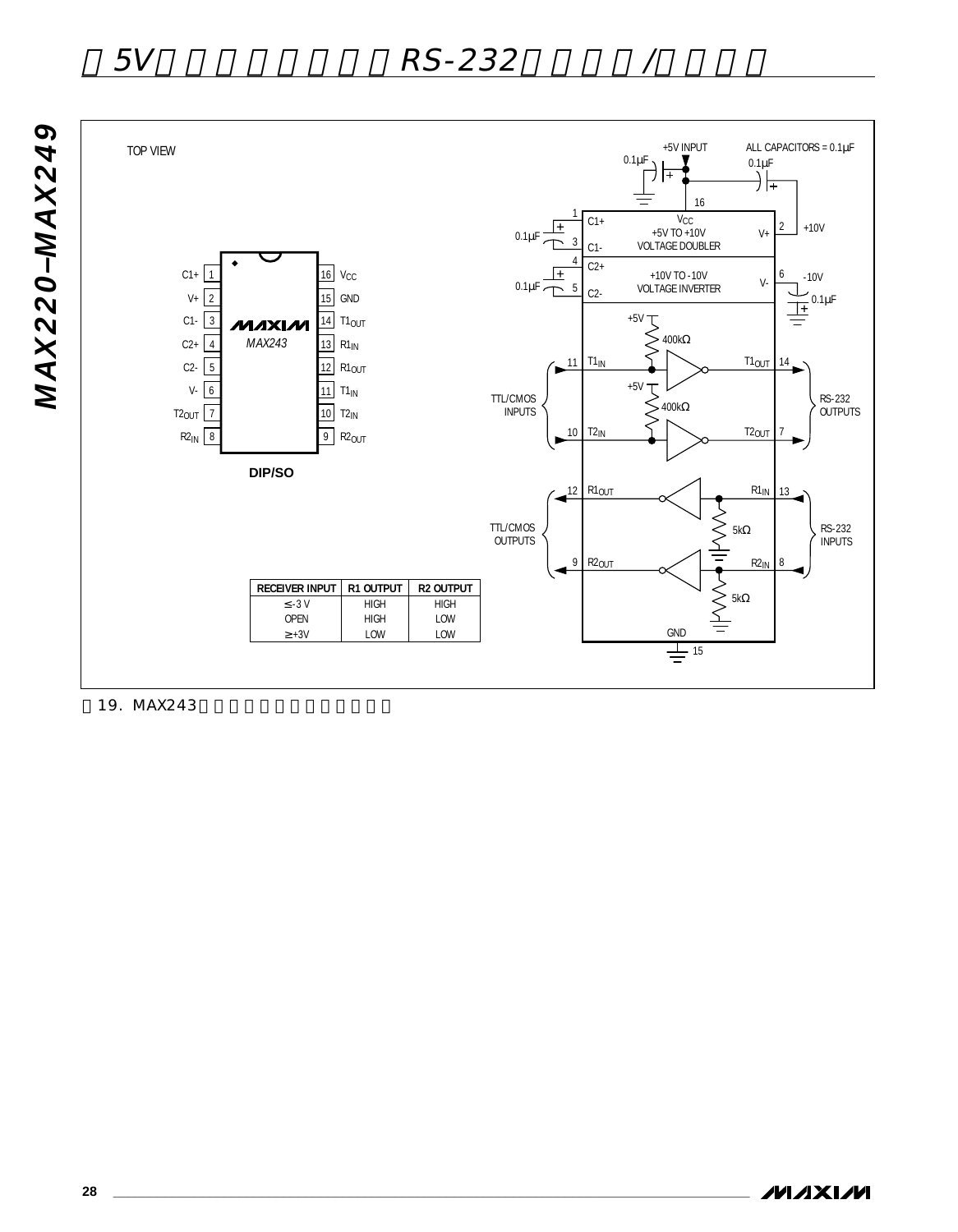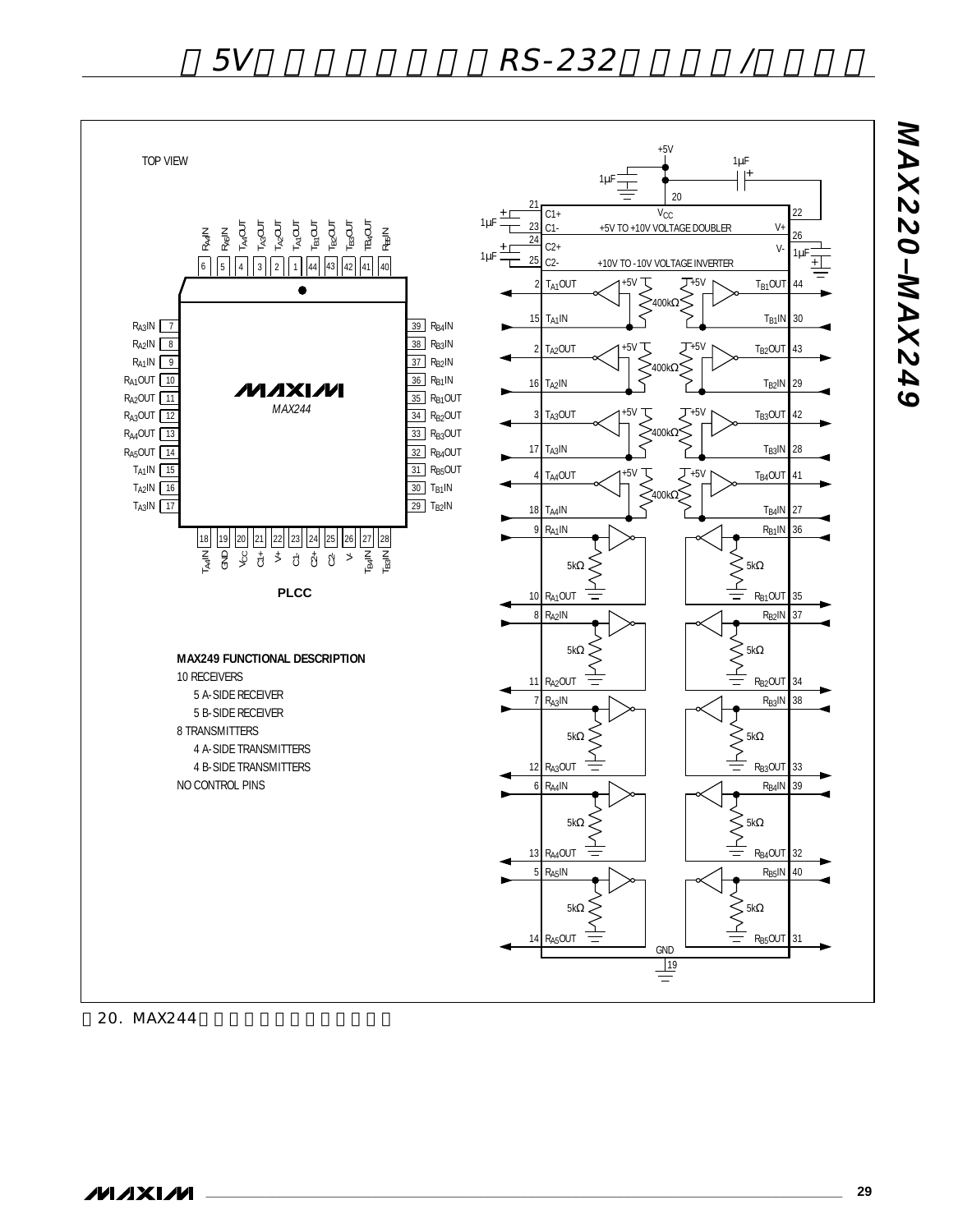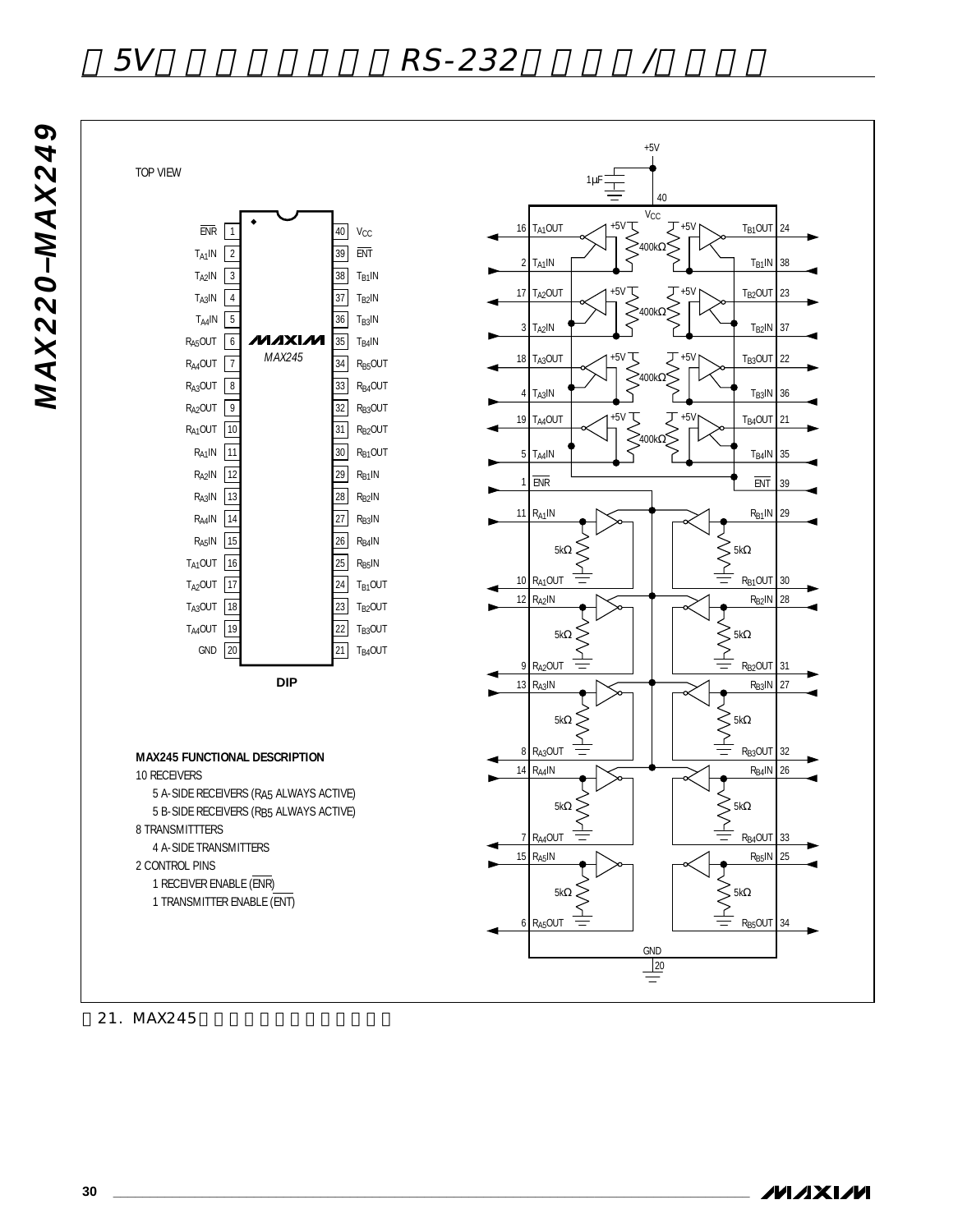# 5V RS-232

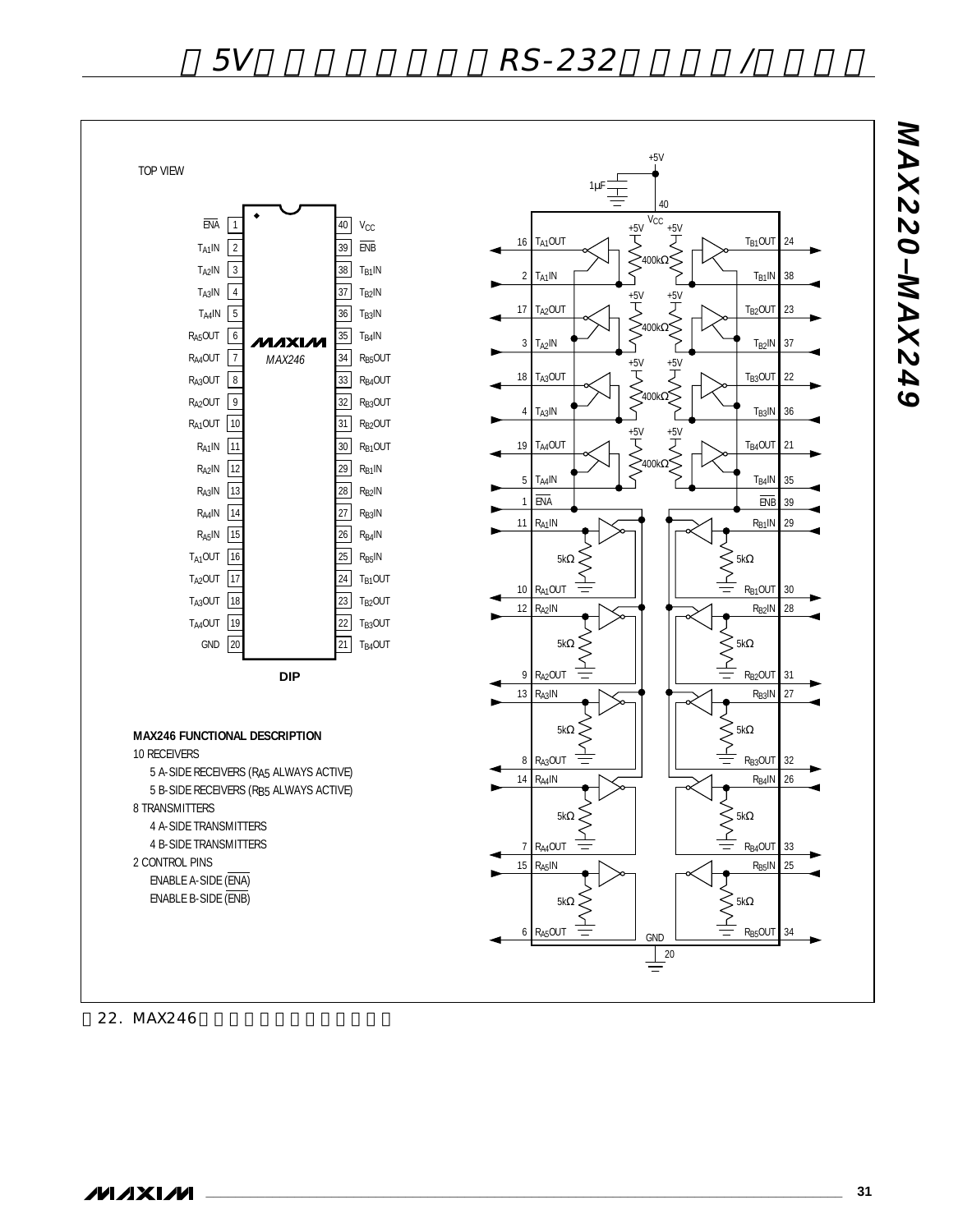

**MAXIM**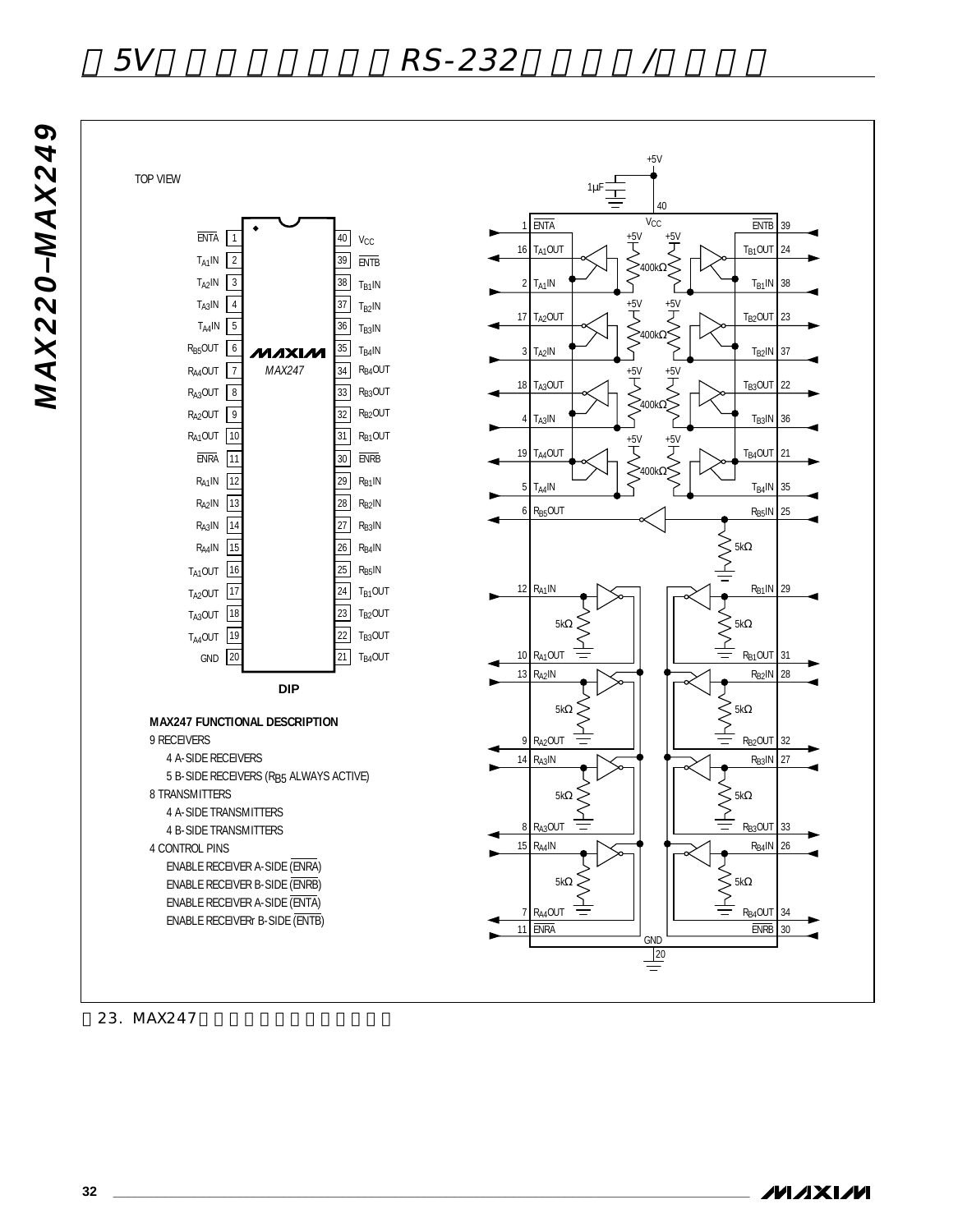# 5V RS<u>-232</u>

TOP VIEW



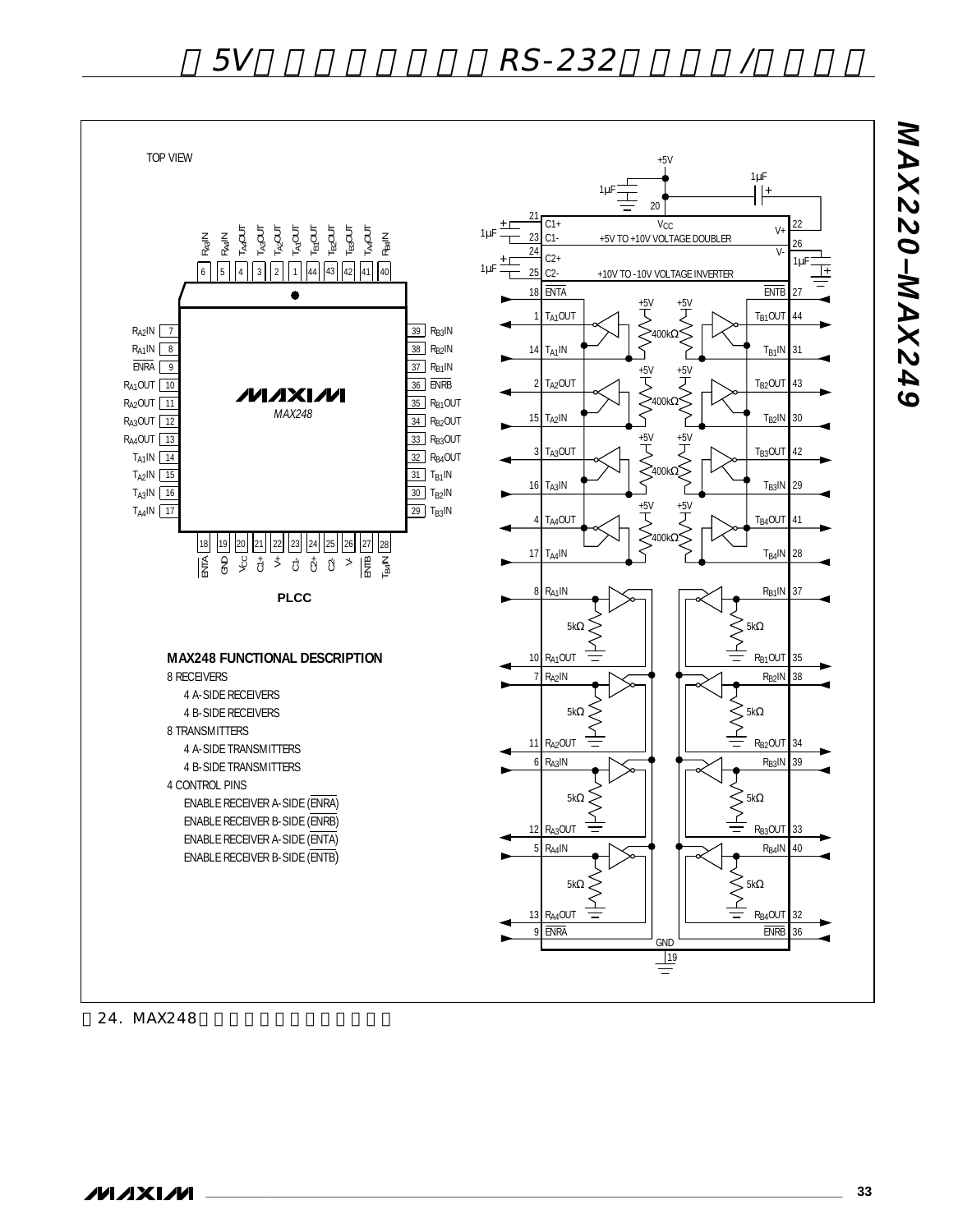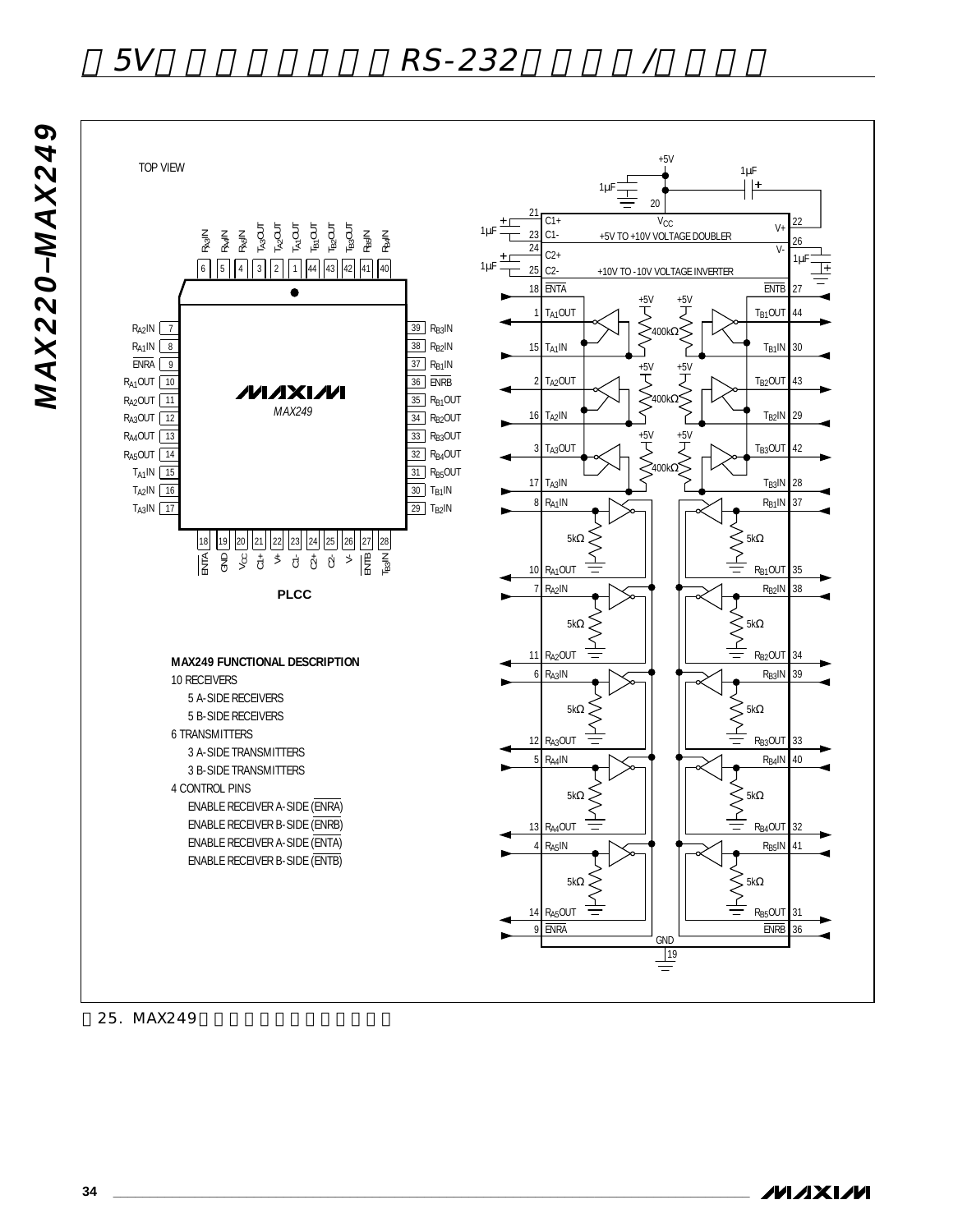**MAX220-MAX249** *MAX220–MAX249*

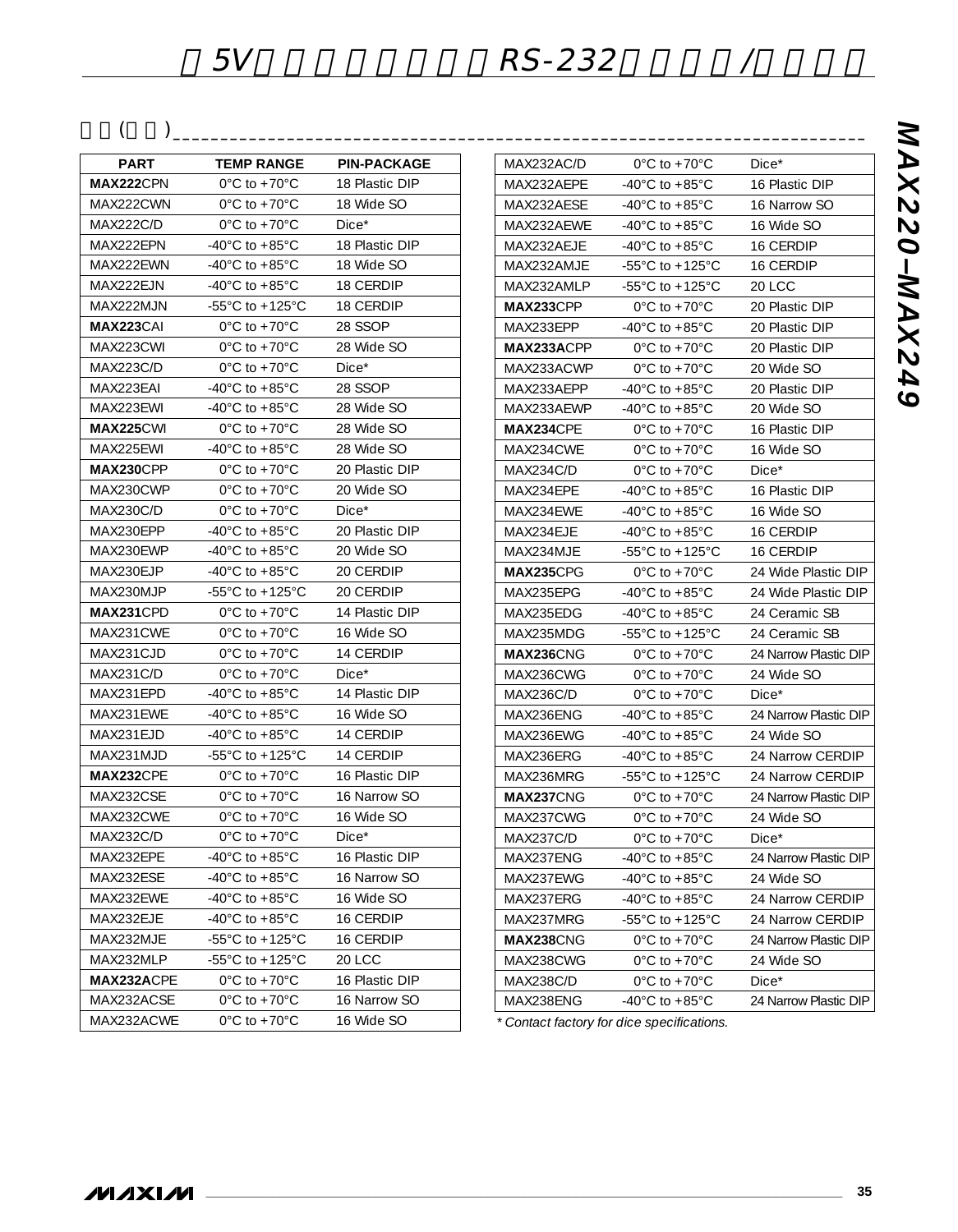$($ 

| PART              | <b>TEMP RANGE</b>                     | <b>PIN-PACKAGE</b> |
|-------------------|---------------------------------------|--------------------|
| <b>MAX222</b> CPN | $0^{\circ}$ C to +70 $^{\circ}$ C     | 18 Plastic DIP     |
| MAX222CWN         | $0^{\circ}$ C to +70 $^{\circ}$ C     | 18 Wide SO         |
| MAX222C/D         | $0^{\circ}$ C to +70 $^{\circ}$ C     | $Dice*$            |
| MAX222EPN         | -40°C to +85°C                        | 18 Plastic DIP     |
| MAX222EWN         | -40°C to +85°C                        | 18 Wide SO         |
| MAX222EJN         | -40 $^{\circ}$ C to +85 $^{\circ}$ C  | 18 CERDIP          |
| MAX222MJN         | -55 $^{\circ}$ C to +125 $^{\circ}$ C | 18 CERDIP          |
| <b>MAX223</b> CAI | $0^{\circ}$ C to +70 $^{\circ}$ C     | 28 SSOP            |
| MAX223CWI         | $0^{\circ}$ C to +70 $^{\circ}$ C     | 28 Wide SO         |
| MAX223C/D         | $0^{\circ}$ C to +70 $^{\circ}$ C     | $Dice^*$           |
| MAX223EAI         | -40°C to +85°C                        | 28 SSOP            |
| MAX223EWI         | -40°C to +85°C                        | 28 Wide SO         |
| <b>MAX225</b> CWI | $0^{\circ}$ C to +70 $^{\circ}$ C     | 28 Wide SO         |
| MAX225EWI         | -40°C to +85°C                        | 28 Wide SO         |
| <b>MAX230</b> CPP | $0^{\circ}$ C to $+70^{\circ}$ C      | 20 Plastic DIP     |
| MAX230CWP         | $0^{\circ}$ C to +70 $^{\circ}$ C     | 20 Wide SO         |
| <b>MAX230C/D</b>  | $0^{\circ}$ C to +70 $^{\circ}$ C     | $Dice*$            |
| MAX230EPP         | -40°C to +85°C                        | 20 Plastic DIP     |
| MAX230EWP         | -40°C to +85°C                        | 20 Wide SO         |
| MAX230EJP         | -40 $^{\circ}$ C to +85 $^{\circ}$ C  | 20 CERDIP          |
| MAX230MJP         | $-55^{\circ}$ C to $+125^{\circ}$ C   | 20 CERDIP          |
| <b>MAX231CPD</b>  | $0^{\circ}$ C to +70 $^{\circ}$ C     | 14 Plastic DIP     |
| MAX231CWE         | $0^{\circ}$ C to +70 $^{\circ}$ C     | 16 Wide SO         |
| MAX231CJD         | $0^{\circ}$ C to +70 $^{\circ}$ C     | 14 CERDIP          |
| MAX231C/D         | $0^{\circ}$ C to +70 $^{\circ}$ C     | $Dice^*$           |
| MAX231EPD         | -40°C to +85°C                        | 14 Plastic DIP     |
| MAX231EWE         | -40°C to +85°C                        | 16 Wide SO         |
| MAX231EJD         | $-40^{\circ}$ C to $+85^{\circ}$ C    | 14 CERDIP          |
| MAX231MJD         | -55 $^{\circ}$ C to +125 $^{\circ}$ C | 14 CERDIP          |
| <b>MAX232CPE</b>  | $0^{\circ}$ C to +70 $^{\circ}$ C     | 16 Plastic DIP     |
| MAX232CSE         | $0^{\circ}$ C to +70 $^{\circ}$ C     | 16 Narrow SO       |
| MAX232CWE         | $0^{\circ}$ C to +70 $^{\circ}$ C     | 16 Wide SO         |
| <b>MAX232C/D</b>  | $0^{\circ}$ C to +70 $^{\circ}$ C     | $Dice*$            |
| MAX232EPE         | $-40^{\circ}$ C to $+85^{\circ}$ C    | 16 Plastic DIP     |
| MAX232ESE         | -40°C to +85°C                        | 16 Narrow SO       |
| MAX232EWE         | -40 $^{\circ}$ C to +85 $^{\circ}$ C  | 16 Wide SO         |
| MAX232EJE         | -40 $^{\circ}$ C to +85 $^{\circ}$ C  | 16 CERDIP          |
| MAX232MJE         | -55 $^{\circ}$ C to +125 $^{\circ}$ C | 16 CERDIP          |
| MAX232MLP         | -55°C to +125°C                       | <b>20 LCC</b>      |
| MAX232ACPE        | $0^{\circ}$ C to +70 $^{\circ}$ C     | 16 Plastic DIP     |
| MAX232ACSE        | $0^{\circ}$ C to +70 $^{\circ}$ C     | 16 Narrow SO       |
| MAX232ACWE        | $0^{\circ}$ C to +70 $^{\circ}$ C     | 16 Wide SO         |

| MAX232AC/D         | $0^{\circ}$ C to +70 $^{\circ}$ C     | $Dice*$               |  |
|--------------------|---------------------------------------|-----------------------|--|
| MAX232AEPE         | -40°C to +85°C                        | 16 Plastic DIP        |  |
| MAX232AESE         | -40 $^{\circ}$ C to +85 $^{\circ}$ C  | 16 Narrow SO          |  |
| MAX232AFWF         | -40°C to +85°C                        | 16 Wide SO            |  |
| MAX232AEJE         | -40 $^{\circ}$ C to +85 $^{\circ}$ C  | 16 CERDIP             |  |
| MAX232AMJE         | -55 $^{\circ}$ C to +125 $^{\circ}$ C | <b>16 CERDIP</b>      |  |
| MAX232AMLP         | -55 $^{\circ}$ C to +125 $^{\circ}$ C | 20 LCC                |  |
| <b>MAX233</b> CPP  | $0^{\circ}$ C to +70 $^{\circ}$ C     | 20 Plastic DIP        |  |
| MAX233EPP          | -40 $^{\circ}$ C to +85 $^{\circ}$ C  | 20 Plastic DIP        |  |
| <b>MAX233A</b> CPP | $0^{\circ}$ C to +70 $^{\circ}$ C     | 20 Plastic DIP        |  |
| MAX233ACWP         | $0^{\circ}$ C to +70 $^{\circ}$ C     | 20 Wide SO            |  |
| MAX233AEPP         | -40 $^{\circ}$ C to +85 $^{\circ}$ C  | 20 Plastic DIP        |  |
| MAX233AEWP         | -40°C to +85°C                        | 20 Wide SO            |  |
| <b>MAX234CPE</b>   | $0^{\circ}$ C to +70 $^{\circ}$ C     | 16 Plastic DIP        |  |
| MAX234CWE          | $0^{\circ}$ C to +70 $^{\circ}$ C     | 16 Wide SO            |  |
| <b>MAX234C/D</b>   | $0^{\circ}$ C to +70 $^{\circ}$ C     | $Dice^*$              |  |
| MAX234EPE          | -40°C to +85°C                        | 16 Plastic DIP        |  |
| MAX234EWE          | -40 $^{\circ}$ C to +85 $^{\circ}$ C  | 16 Wide SO            |  |
| MAX234EJE          | -40°C to +85°C                        | <b>16 CERDIP</b>      |  |
| MAX234MJE          | -55°C to +125°C                       | 16 CERDIP             |  |
| MAX235CPG          | $0^{\circ}$ C to +70 $^{\circ}$ C     | 24 Wide Plastic DIP   |  |
| MAX235EPG          | -40°C to +85°C                        | 24 Wide Plastic DIP   |  |
| MAX235EDG          | -40°C to +85°C                        | 24 Ceramic SB         |  |
| MAX235MDG          | -55°C to +125°C                       | 24 Ceramic SB         |  |
| MAX236CNG          | $0^{\circ}$ C to +70 $^{\circ}$ C     | 24 Narrow Plastic DIP |  |
| MAX236CWG          | $0^{\circ}$ C to +70 $^{\circ}$ C     | 24 Wide SO            |  |
| MAX236C/D          | $0^{\circ}$ C to +70 $^{\circ}$ C     | $Dice*$               |  |
| MAX236ENG          | -40°C to +85°C                        | 24 Narrow Plastic DIP |  |
| MAX236EWG          | -40 $^{\circ}$ C to +85 $^{\circ}$ C  | 24 Wide SO            |  |
| MAX236ERG          | -40°C to +85°C                        | 24 Narrow CERDIP      |  |
| MAX236MRG          | -55°C to +125°C                       | 24 Narrow CERDIP      |  |
| MAX237CNG          | $0^{\circ}$ C to +70 $^{\circ}$ C     | 24 Narrow Plastic DIP |  |
| MAX237CWG          | $0^{\circ}$ C to +70 $^{\circ}$ C     | 24 Wide SO            |  |
| MAX237C/D          | $0^{\circ}$ C to +70 $^{\circ}$ C     | $Dice*$               |  |
| MAX237ENG          | -40 $^{\circ}$ C to +85 $^{\circ}$ C  | 24 Narrow Plastic DIP |  |
| MAX237EWG          | -40 $^{\circ}$ C to +85 $^{\circ}$ C  | 24 Wide SO            |  |
| MAX237ERG          | -40 $^{\circ}$ C to +85 $^{\circ}$ C  | 24 Narrow CERDIP      |  |
| MAX237MRG          | -55°C to +125°C                       | 24 Narrow CERDIP      |  |
| MAX238CNG          | $0^{\circ}$ C to +70 $^{\circ}$ C     | 24 Narrow Plastic DIP |  |
| MAX238CWG          | $0^{\circ}$ C to +70 $^{\circ}$ C     | 24 Wide SO            |  |
| <b>MAX238C/D</b>   | $0^{\circ}$ C to +70 $^{\circ}$ C     | $Dice*$               |  |
| MAX238ENG          | -40°C to +85°C                        | 24 Narrow Plastic DIP |  |
|                    |                                       |                       |  |

*\* Contact factory for dice specifications.*